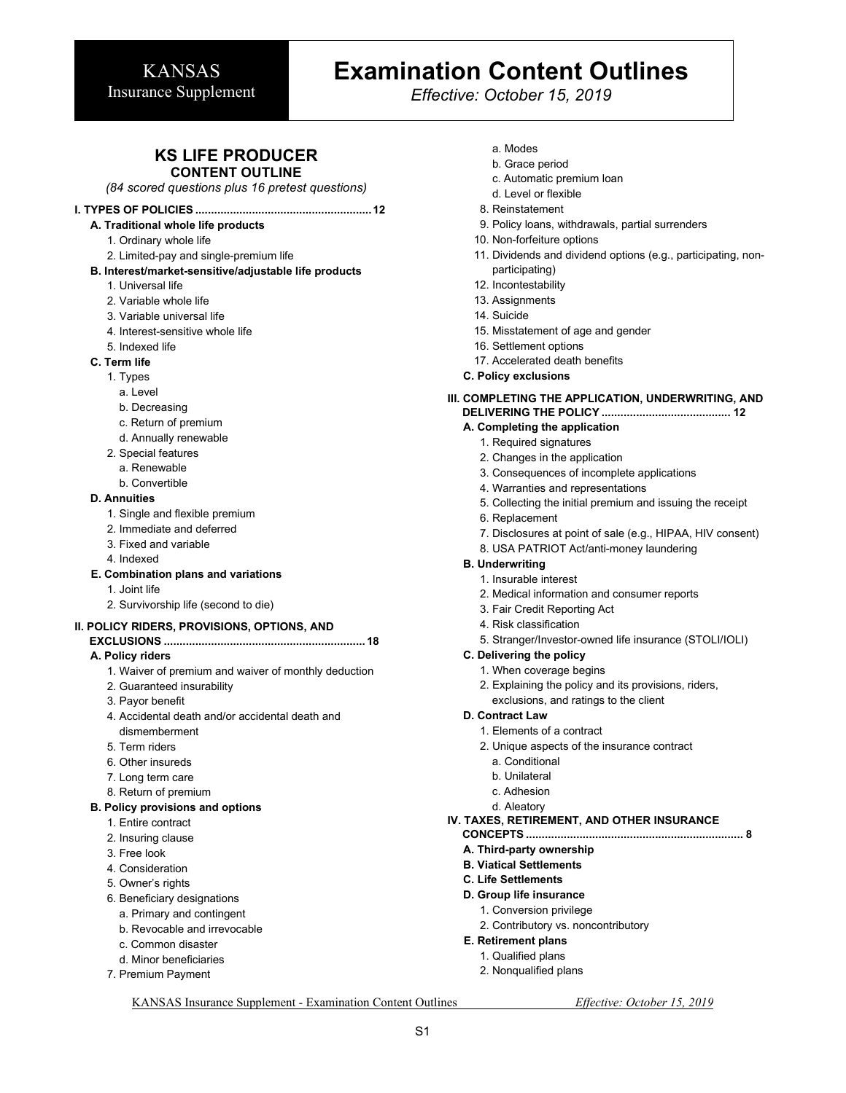# **Examination Content Outlines**

*Effective: October 15, 2019*

### **KS LIFE PRODUCER CONTENT OUTLINE**

*(84 scored questions plus 16 pretest questions)* 

### **I. TYPES OF POLICIES ........................................................ 12**

- **A. Traditional whole life products** 
	- 1. Ordinary whole life
	-
	- 2. Limited-pay and single-premium life
- **B. Interest/market-sensitive/adjustable life products** 
	- 1. Universal life
	- 2. Variable whole life
	- 3. Variable universal life
	- 4. Interest-sensitive whole life
	- 5. Indexed life
- **C. Term life** 
	- 1. Types
		- a. Level
		- b. Decreasing
		- c. Return of premium
		- d. Annually renewable
	- 2. Special features
		- a. Renewable
		- b. Convertible

#### **D. Annuities**

- 1. Single and flexible premium
- 2. Immediate and deferred
- 3. Fixed and variable
- 4. Indexed

#### **E. Combination plans and variations**

- 1. Joint life
- 2. Survivorship life (second to die)

#### **II. POLICY RIDERS, PROVISIONS, OPTIONS, AND**

#### **EXCLUSIONS ................................................................ 18 A. Policy riders**

- 1. Waiver of premium and waiver of monthly deduction
- 2. Guaranteed insurability
- 3. Payor benefit
- 4. Accidental death and/or accidental death and dismemberment
- 5. Term riders
- 6. Other insureds
- 7. Long term care
- 8. Return of premium

#### **B. Policy provisions and options**

- 1. Entire contract
- 2. Insuring clause
- 3. Free look
- 4. Consideration
- 5. Owner's rights
- 6. Beneficiary designations
	- a. Primary and contingent
	- b. Revocable and irrevocable
	- c. Common disaster
	- d. Minor beneficiaries
- 7. Premium Payment
- a. Modes
- b. Grace period
- c. Automatic premium loan
- d. Level or flexible
- 8. Reinstatement
- 9. Policy loans, withdrawals, partial surrenders
- 10. Non-forfeiture options
- 11. Dividends and dividend options (e.g., participating, nonparticipating)
- 12. Incontestability
- 13. Assignments
- 14. Suicide
- 15. Misstatement of age and gender
- 16. Settlement options
- 17. Accelerated death benefits
- **C. Policy exclusions**

#### **III. COMPLETING THE APPLICATION, UNDERWRITING, AND DELIVERING THE POLICY ......................................... 12**

#### **A. Completing the application**

- 1. Required signatures
- 2. Changes in the application
- 3. Consequences of incomplete applications
- 4. Warranties and representations
- 5. Collecting the initial premium and issuing the receipt
- 6. Replacement
- 7. Disclosures at point of sale (e.g., HIPAA, HIV consent)
- 8. USA PATRIOT Act/anti-money laundering

#### **B. Underwriting**

- 1. Insurable interest
- 2. Medical information and consumer reports
- 3. Fair Credit Reporting Act
- 4. Risk classification
- 5. Stranger/Investor-owned life insurance (STOLI/IOLI)

#### **C. Delivering the policy**

- 1. When coverage begins
- 2. Explaining the policy and its provisions, riders, exclusions, and ratings to the client

#### **D. Contract Law**

- 1. Elements of a contract
- 2. Unique aspects of the insurance contract
	- a. Conditional
	- b. Unilateral
- c. Adhesion
- d. Aleatory

#### **IV. TAXES, RETIREMENT, AND OTHER INSURANCE**

2. Contributory vs. noncontributory

- **CONCEPTS ..................................................................... 8 A. Third-party ownership**
- **B. Viatical Settlements**

**D. Group life insurance**  1. Conversion privilege

**C. Life Settlements** 

**E. Retirement plans**  1. Qualified plans 2. Nonqualified plans

KANSAS Insurance Supplement - Examination Content Outlines *Effective: October 15, 2019* 

S1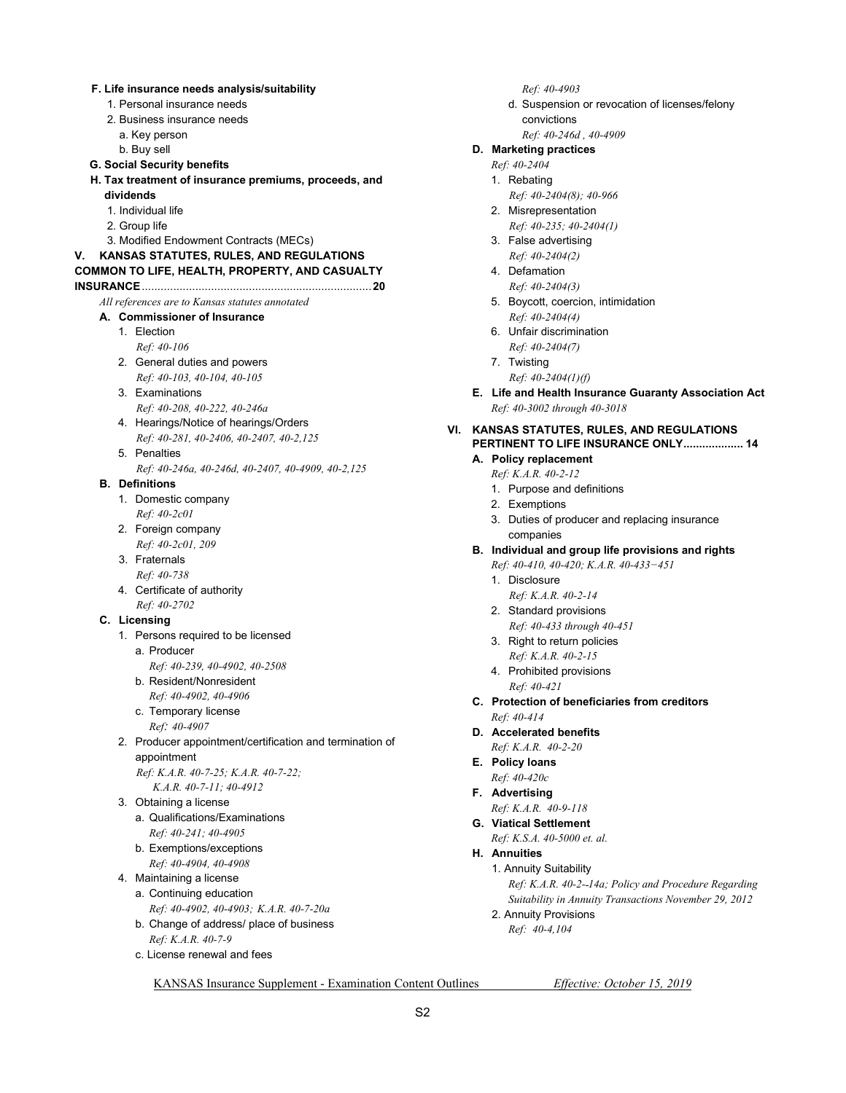| 1. Personal insurance needs<br>2. Business insurance needs<br>a. Key person<br>b. Buy sell<br><b>G. Social Security benefits</b><br>H. Tax treatment of insurance premiums, proceeds, and<br>dividends<br>1. Individual life<br>2. Group life<br>3. Modified Endowment Contracts (MECs)<br>KANSAS STATUTES, RULES, AND REGULATIONS<br>۷.<br>COMMON TO LIFE, HEALTH, PROPERTY, AND CASUALTY<br>All references are to Kansas statutes annotated<br>A. Commissioner of Insurance<br>1. Election<br>Ref: 40-106<br>2. General duties and powers<br>Ref: 40-103, 40-104, 40-105<br>3. Examinations<br>Ref: 40-208, 40-222, 40-246a<br>4. Hearings/Notice of hearings/Orders<br>VI.<br>Ref: 40-281, 40-2406, 40-2407, 40-2, 125<br>5. Penalties<br>Ref: 40-246a, 40-246d, 40-2407, 40-4909, 40-2,125<br><b>B.</b> Definitions<br>1. Domestic company<br>Ref: 40-2c01<br>2. Foreign company<br>Ref: 40-2c01, 209<br>3. Fraternals<br>Ref: 40-738<br>4. Certificate of authority<br>Ref: 40-2702<br>C. Licensing<br>1. Persons required to be licensed<br>a. Producer<br>Ref: 40-239, 40-4902, 40-2508<br>b. Resident/Nonresident<br>Ref: 40-4902, 40-4906<br>c. Temporary license<br>Ref: 40-4907<br>2. Producer appointment/certification and termination of<br>appointment<br>Ref: K.A.R. 40-7-25; K.A.R. 40-7-22;<br>K.A.R. 40-7-11; 40-4912<br>3. Obtaining a license<br>a. Qualifications/Examinations<br>Ref: 40-241; 40-4905<br>b. Exemptions/exceptions<br>Ref: 40-4904, 40-4908<br>4. Maintaining a license<br>a. Continuing education<br>Ref: 40-4902, 40-4903; K.A.R. 40-7-20a<br>b. Change of address/ place of business<br>Ref: K.A.R. 40-7-9<br>c. License renewal and fees |  | F. Life insurance needs analysis/suitability |  | Ref: 40-490                |
|------------------------------------------------------------------------------------------------------------------------------------------------------------------------------------------------------------------------------------------------------------------------------------------------------------------------------------------------------------------------------------------------------------------------------------------------------------------------------------------------------------------------------------------------------------------------------------------------------------------------------------------------------------------------------------------------------------------------------------------------------------------------------------------------------------------------------------------------------------------------------------------------------------------------------------------------------------------------------------------------------------------------------------------------------------------------------------------------------------------------------------------------------------------------------------------------------------------------------------------------------------------------------------------------------------------------------------------------------------------------------------------------------------------------------------------------------------------------------------------------------------------------------------------------------------------------------------------------------------------------------------------------------------------------------------|--|----------------------------------------------|--|----------------------------|
|                                                                                                                                                                                                                                                                                                                                                                                                                                                                                                                                                                                                                                                                                                                                                                                                                                                                                                                                                                                                                                                                                                                                                                                                                                                                                                                                                                                                                                                                                                                                                                                                                                                                                    |  |                                              |  | d. Suspensio               |
|                                                                                                                                                                                                                                                                                                                                                                                                                                                                                                                                                                                                                                                                                                                                                                                                                                                                                                                                                                                                                                                                                                                                                                                                                                                                                                                                                                                                                                                                                                                                                                                                                                                                                    |  |                                              |  | convictions                |
|                                                                                                                                                                                                                                                                                                                                                                                                                                                                                                                                                                                                                                                                                                                                                                                                                                                                                                                                                                                                                                                                                                                                                                                                                                                                                                                                                                                                                                                                                                                                                                                                                                                                                    |  |                                              |  | Ref: 40-246                |
|                                                                                                                                                                                                                                                                                                                                                                                                                                                                                                                                                                                                                                                                                                                                                                                                                                                                                                                                                                                                                                                                                                                                                                                                                                                                                                                                                                                                                                                                                                                                                                                                                                                                                    |  |                                              |  | D. Marketing pract         |
|                                                                                                                                                                                                                                                                                                                                                                                                                                                                                                                                                                                                                                                                                                                                                                                                                                                                                                                                                                                                                                                                                                                                                                                                                                                                                                                                                                                                                                                                                                                                                                                                                                                                                    |  |                                              |  | Ref: 40-2404               |
|                                                                                                                                                                                                                                                                                                                                                                                                                                                                                                                                                                                                                                                                                                                                                                                                                                                                                                                                                                                                                                                                                                                                                                                                                                                                                                                                                                                                                                                                                                                                                                                                                                                                                    |  |                                              |  | 1. Rebating                |
|                                                                                                                                                                                                                                                                                                                                                                                                                                                                                                                                                                                                                                                                                                                                                                                                                                                                                                                                                                                                                                                                                                                                                                                                                                                                                                                                                                                                                                                                                                                                                                                                                                                                                    |  |                                              |  | Ref: 40-2404(8             |
|                                                                                                                                                                                                                                                                                                                                                                                                                                                                                                                                                                                                                                                                                                                                                                                                                                                                                                                                                                                                                                                                                                                                                                                                                                                                                                                                                                                                                                                                                                                                                                                                                                                                                    |  |                                              |  | 2. Misrepresenta           |
|                                                                                                                                                                                                                                                                                                                                                                                                                                                                                                                                                                                                                                                                                                                                                                                                                                                                                                                                                                                                                                                                                                                                                                                                                                                                                                                                                                                                                                                                                                                                                                                                                                                                                    |  |                                              |  | Ref: 40-235; 4             |
|                                                                                                                                                                                                                                                                                                                                                                                                                                                                                                                                                                                                                                                                                                                                                                                                                                                                                                                                                                                                                                                                                                                                                                                                                                                                                                                                                                                                                                                                                                                                                                                                                                                                                    |  |                                              |  | 3. False advertis          |
|                                                                                                                                                                                                                                                                                                                                                                                                                                                                                                                                                                                                                                                                                                                                                                                                                                                                                                                                                                                                                                                                                                                                                                                                                                                                                                                                                                                                                                                                                                                                                                                                                                                                                    |  |                                              |  | Ref: 40-2404(2             |
|                                                                                                                                                                                                                                                                                                                                                                                                                                                                                                                                                                                                                                                                                                                                                                                                                                                                                                                                                                                                                                                                                                                                                                                                                                                                                                                                                                                                                                                                                                                                                                                                                                                                                    |  |                                              |  | 4. Defamation              |
|                                                                                                                                                                                                                                                                                                                                                                                                                                                                                                                                                                                                                                                                                                                                                                                                                                                                                                                                                                                                                                                                                                                                                                                                                                                                                                                                                                                                                                                                                                                                                                                                                                                                                    |  |                                              |  | Ref: 40-2404(3             |
|                                                                                                                                                                                                                                                                                                                                                                                                                                                                                                                                                                                                                                                                                                                                                                                                                                                                                                                                                                                                                                                                                                                                                                                                                                                                                                                                                                                                                                                                                                                                                                                                                                                                                    |  |                                              |  | 5. Boycott, coen           |
|                                                                                                                                                                                                                                                                                                                                                                                                                                                                                                                                                                                                                                                                                                                                                                                                                                                                                                                                                                                                                                                                                                                                                                                                                                                                                                                                                                                                                                                                                                                                                                                                                                                                                    |  |                                              |  | Ref: 40-2404(4             |
|                                                                                                                                                                                                                                                                                                                                                                                                                                                                                                                                                                                                                                                                                                                                                                                                                                                                                                                                                                                                                                                                                                                                                                                                                                                                                                                                                                                                                                                                                                                                                                                                                                                                                    |  |                                              |  | 6. Unfair discrim          |
|                                                                                                                                                                                                                                                                                                                                                                                                                                                                                                                                                                                                                                                                                                                                                                                                                                                                                                                                                                                                                                                                                                                                                                                                                                                                                                                                                                                                                                                                                                                                                                                                                                                                                    |  |                                              |  | Ref: 40-2404(7             |
|                                                                                                                                                                                                                                                                                                                                                                                                                                                                                                                                                                                                                                                                                                                                                                                                                                                                                                                                                                                                                                                                                                                                                                                                                                                                                                                                                                                                                                                                                                                                                                                                                                                                                    |  |                                              |  | 7. Twisting                |
|                                                                                                                                                                                                                                                                                                                                                                                                                                                                                                                                                                                                                                                                                                                                                                                                                                                                                                                                                                                                                                                                                                                                                                                                                                                                                                                                                                                                                                                                                                                                                                                                                                                                                    |  |                                              |  |                            |
|                                                                                                                                                                                                                                                                                                                                                                                                                                                                                                                                                                                                                                                                                                                                                                                                                                                                                                                                                                                                                                                                                                                                                                                                                                                                                                                                                                                                                                                                                                                                                                                                                                                                                    |  |                                              |  | Ref: 40-2404(1             |
|                                                                                                                                                                                                                                                                                                                                                                                                                                                                                                                                                                                                                                                                                                                                                                                                                                                                                                                                                                                                                                                                                                                                                                                                                                                                                                                                                                                                                                                                                                                                                                                                                                                                                    |  |                                              |  | E. Life and Health         |
|                                                                                                                                                                                                                                                                                                                                                                                                                                                                                                                                                                                                                                                                                                                                                                                                                                                                                                                                                                                                                                                                                                                                                                                                                                                                                                                                                                                                                                                                                                                                                                                                                                                                                    |  |                                              |  | Ref: 40-3002 throu         |
|                                                                                                                                                                                                                                                                                                                                                                                                                                                                                                                                                                                                                                                                                                                                                                                                                                                                                                                                                                                                                                                                                                                                                                                                                                                                                                                                                                                                                                                                                                                                                                                                                                                                                    |  |                                              |  | <b>KANSAS STATUTE</b>      |
|                                                                                                                                                                                                                                                                                                                                                                                                                                                                                                                                                                                                                                                                                                                                                                                                                                                                                                                                                                                                                                                                                                                                                                                                                                                                                                                                                                                                                                                                                                                                                                                                                                                                                    |  |                                              |  | <b>PERTINENT TO LIF</b>    |
|                                                                                                                                                                                                                                                                                                                                                                                                                                                                                                                                                                                                                                                                                                                                                                                                                                                                                                                                                                                                                                                                                                                                                                                                                                                                                                                                                                                                                                                                                                                                                                                                                                                                                    |  |                                              |  | A. Policy replacem         |
|                                                                                                                                                                                                                                                                                                                                                                                                                                                                                                                                                                                                                                                                                                                                                                                                                                                                                                                                                                                                                                                                                                                                                                                                                                                                                                                                                                                                                                                                                                                                                                                                                                                                                    |  |                                              |  | Ref: K.A.R. 40-2-1         |
|                                                                                                                                                                                                                                                                                                                                                                                                                                                                                                                                                                                                                                                                                                                                                                                                                                                                                                                                                                                                                                                                                                                                                                                                                                                                                                                                                                                                                                                                                                                                                                                                                                                                                    |  |                                              |  | 1. Purpose and             |
|                                                                                                                                                                                                                                                                                                                                                                                                                                                                                                                                                                                                                                                                                                                                                                                                                                                                                                                                                                                                                                                                                                                                                                                                                                                                                                                                                                                                                                                                                                                                                                                                                                                                                    |  |                                              |  | 2. Exemptions              |
|                                                                                                                                                                                                                                                                                                                                                                                                                                                                                                                                                                                                                                                                                                                                                                                                                                                                                                                                                                                                                                                                                                                                                                                                                                                                                                                                                                                                                                                                                                                                                                                                                                                                                    |  |                                              |  | 3. Duties of prod          |
|                                                                                                                                                                                                                                                                                                                                                                                                                                                                                                                                                                                                                                                                                                                                                                                                                                                                                                                                                                                                                                                                                                                                                                                                                                                                                                                                                                                                                                                                                                                                                                                                                                                                                    |  |                                              |  | companies                  |
|                                                                                                                                                                                                                                                                                                                                                                                                                                                                                                                                                                                                                                                                                                                                                                                                                                                                                                                                                                                                                                                                                                                                                                                                                                                                                                                                                                                                                                                                                                                                                                                                                                                                                    |  |                                              |  |                            |
|                                                                                                                                                                                                                                                                                                                                                                                                                                                                                                                                                                                                                                                                                                                                                                                                                                                                                                                                                                                                                                                                                                                                                                                                                                                                                                                                                                                                                                                                                                                                                                                                                                                                                    |  |                                              |  | B. Individual and g        |
|                                                                                                                                                                                                                                                                                                                                                                                                                                                                                                                                                                                                                                                                                                                                                                                                                                                                                                                                                                                                                                                                                                                                                                                                                                                                                                                                                                                                                                                                                                                                                                                                                                                                                    |  |                                              |  | Ref: 40-410, 40-42         |
|                                                                                                                                                                                                                                                                                                                                                                                                                                                                                                                                                                                                                                                                                                                                                                                                                                                                                                                                                                                                                                                                                                                                                                                                                                                                                                                                                                                                                                                                                                                                                                                                                                                                                    |  |                                              |  | 1. Disclosure              |
|                                                                                                                                                                                                                                                                                                                                                                                                                                                                                                                                                                                                                                                                                                                                                                                                                                                                                                                                                                                                                                                                                                                                                                                                                                                                                                                                                                                                                                                                                                                                                                                                                                                                                    |  |                                              |  | Ref: K.A.R. 40             |
|                                                                                                                                                                                                                                                                                                                                                                                                                                                                                                                                                                                                                                                                                                                                                                                                                                                                                                                                                                                                                                                                                                                                                                                                                                                                                                                                                                                                                                                                                                                                                                                                                                                                                    |  |                                              |  | 2. Standard prov           |
|                                                                                                                                                                                                                                                                                                                                                                                                                                                                                                                                                                                                                                                                                                                                                                                                                                                                                                                                                                                                                                                                                                                                                                                                                                                                                                                                                                                                                                                                                                                                                                                                                                                                                    |  |                                              |  | Ref: 40-433 th.            |
|                                                                                                                                                                                                                                                                                                                                                                                                                                                                                                                                                                                                                                                                                                                                                                                                                                                                                                                                                                                                                                                                                                                                                                                                                                                                                                                                                                                                                                                                                                                                                                                                                                                                                    |  |                                              |  | 3. Right to return         |
|                                                                                                                                                                                                                                                                                                                                                                                                                                                                                                                                                                                                                                                                                                                                                                                                                                                                                                                                                                                                                                                                                                                                                                                                                                                                                                                                                                                                                                                                                                                                                                                                                                                                                    |  |                                              |  | Ref: K.A.R. 40             |
|                                                                                                                                                                                                                                                                                                                                                                                                                                                                                                                                                                                                                                                                                                                                                                                                                                                                                                                                                                                                                                                                                                                                                                                                                                                                                                                                                                                                                                                                                                                                                                                                                                                                                    |  |                                              |  | 4. Prohibited pro          |
|                                                                                                                                                                                                                                                                                                                                                                                                                                                                                                                                                                                                                                                                                                                                                                                                                                                                                                                                                                                                                                                                                                                                                                                                                                                                                                                                                                                                                                                                                                                                                                                                                                                                                    |  |                                              |  | Ref: 40-421                |
|                                                                                                                                                                                                                                                                                                                                                                                                                                                                                                                                                                                                                                                                                                                                                                                                                                                                                                                                                                                                                                                                                                                                                                                                                                                                                                                                                                                                                                                                                                                                                                                                                                                                                    |  |                                              |  | C. Protection of be        |
|                                                                                                                                                                                                                                                                                                                                                                                                                                                                                                                                                                                                                                                                                                                                                                                                                                                                                                                                                                                                                                                                                                                                                                                                                                                                                                                                                                                                                                                                                                                                                                                                                                                                                    |  |                                              |  | Ref: 40-414                |
|                                                                                                                                                                                                                                                                                                                                                                                                                                                                                                                                                                                                                                                                                                                                                                                                                                                                                                                                                                                                                                                                                                                                                                                                                                                                                                                                                                                                                                                                                                                                                                                                                                                                                    |  |                                              |  | D. Accelerated ber         |
|                                                                                                                                                                                                                                                                                                                                                                                                                                                                                                                                                                                                                                                                                                                                                                                                                                                                                                                                                                                                                                                                                                                                                                                                                                                                                                                                                                                                                                                                                                                                                                                                                                                                                    |  |                                              |  | Ref: K.A.R. 40-2-2         |
|                                                                                                                                                                                                                                                                                                                                                                                                                                                                                                                                                                                                                                                                                                                                                                                                                                                                                                                                                                                                                                                                                                                                                                                                                                                                                                                                                                                                                                                                                                                                                                                                                                                                                    |  |                                              |  | E. Policy loans            |
|                                                                                                                                                                                                                                                                                                                                                                                                                                                                                                                                                                                                                                                                                                                                                                                                                                                                                                                                                                                                                                                                                                                                                                                                                                                                                                                                                                                                                                                                                                                                                                                                                                                                                    |  |                                              |  | Ref: 40-420c               |
|                                                                                                                                                                                                                                                                                                                                                                                                                                                                                                                                                                                                                                                                                                                                                                                                                                                                                                                                                                                                                                                                                                                                                                                                                                                                                                                                                                                                                                                                                                                                                                                                                                                                                    |  |                                              |  | F. Advertising             |
|                                                                                                                                                                                                                                                                                                                                                                                                                                                                                                                                                                                                                                                                                                                                                                                                                                                                                                                                                                                                                                                                                                                                                                                                                                                                                                                                                                                                                                                                                                                                                                                                                                                                                    |  |                                              |  | Ref: K.A.R. 40-9-1         |
|                                                                                                                                                                                                                                                                                                                                                                                                                                                                                                                                                                                                                                                                                                                                                                                                                                                                                                                                                                                                                                                                                                                                                                                                                                                                                                                                                                                                                                                                                                                                                                                                                                                                                    |  |                                              |  | <b>G.</b> Viatical Settlem |
|                                                                                                                                                                                                                                                                                                                                                                                                                                                                                                                                                                                                                                                                                                                                                                                                                                                                                                                                                                                                                                                                                                                                                                                                                                                                                                                                                                                                                                                                                                                                                                                                                                                                                    |  |                                              |  | Ref: K.S.A. 40-500         |
|                                                                                                                                                                                                                                                                                                                                                                                                                                                                                                                                                                                                                                                                                                                                                                                                                                                                                                                                                                                                                                                                                                                                                                                                                                                                                                                                                                                                                                                                                                                                                                                                                                                                                    |  |                                              |  | <b>H.</b> Annuities        |
|                                                                                                                                                                                                                                                                                                                                                                                                                                                                                                                                                                                                                                                                                                                                                                                                                                                                                                                                                                                                                                                                                                                                                                                                                                                                                                                                                                                                                                                                                                                                                                                                                                                                                    |  |                                              |  |                            |
|                                                                                                                                                                                                                                                                                                                                                                                                                                                                                                                                                                                                                                                                                                                                                                                                                                                                                                                                                                                                                                                                                                                                                                                                                                                                                                                                                                                                                                                                                                                                                                                                                                                                                    |  |                                              |  | 1. Annuity Suitab          |
|                                                                                                                                                                                                                                                                                                                                                                                                                                                                                                                                                                                                                                                                                                                                                                                                                                                                                                                                                                                                                                                                                                                                                                                                                                                                                                                                                                                                                                                                                                                                                                                                                                                                                    |  |                                              |  | Ref: K.A.R. 40-            |
|                                                                                                                                                                                                                                                                                                                                                                                                                                                                                                                                                                                                                                                                                                                                                                                                                                                                                                                                                                                                                                                                                                                                                                                                                                                                                                                                                                                                                                                                                                                                                                                                                                                                                    |  |                                              |  | Suitability in A           |
|                                                                                                                                                                                                                                                                                                                                                                                                                                                                                                                                                                                                                                                                                                                                                                                                                                                                                                                                                                                                                                                                                                                                                                                                                                                                                                                                                                                                                                                                                                                                                                                                                                                                                    |  |                                              |  | 2. Annuity Provis          |
|                                                                                                                                                                                                                                                                                                                                                                                                                                                                                                                                                                                                                                                                                                                                                                                                                                                                                                                                                                                                                                                                                                                                                                                                                                                                                                                                                                                                                                                                                                                                                                                                                                                                                    |  |                                              |  | Ref: 40-4,104              |
|                                                                                                                                                                                                                                                                                                                                                                                                                                                                                                                                                                                                                                                                                                                                                                                                                                                                                                                                                                                                                                                                                                                                                                                                                                                                                                                                                                                                                                                                                                                                                                                                                                                                                    |  |                                              |  |                            |
|                                                                                                                                                                                                                                                                                                                                                                                                                                                                                                                                                                                                                                                                                                                                                                                                                                                                                                                                                                                                                                                                                                                                                                                                                                                                                                                                                                                                                                                                                                                                                                                                                                                                                    |  |                                              |  |                            |

 *Ref: 40-4903*

ision or revocation of licenses/felony ions

#### *Ref: 40-246d , 40-4909*  **actices**

- - *Ref: 40-2404(8); 40-966*  entation
	- *Ref: 40-235; 40-2404(1)*
- ertising *04(2)*
- *<i>Ref* (3)
- oercion, intimidation *<i>Ref(4)*
- **crimination** *<i>B*<sub>4</sub>(7)
- 
- $04(1)(f)$
- **Ith Insurance Guaranty Association Act**  *Ref: 40-3002 through 40-3018*
- **ITES, RULES, AND REGULATIONS LIFE INSURANCE ONLY ................... 14**

### *<u>cement</u>*

- *Ref: K.A.R. 40-2-12* 
	- nd definitions
- 
- producer and replacing insurance companies
- **d group life provisions and rights** 
	- *Ref: 40-410, 40-420; K.A.R. 40-433−451* 
		- *Ref: K.A.R. 40-2-14*
	- provisions  *Ref: 40-433 through 40-451*
	- eturn policies  *Ref: K.A.R. 40-2-15*
	- provisions
- **beneficiaries from creditors**
- **benefits** 
	- *Ref: K.A.R. 40-2-20*
- *Ref: K.A.R. 40-9-118*
- **ement**
- *F<sub>5000</sub>* et. al.
- 

 $\mathsf{itability}$  *Ref: K.A.R. 40-2- 14a; Policy and Procedure Regarding Suitability in Annuity Transactions November 29, 2012* 

- ovisions
	-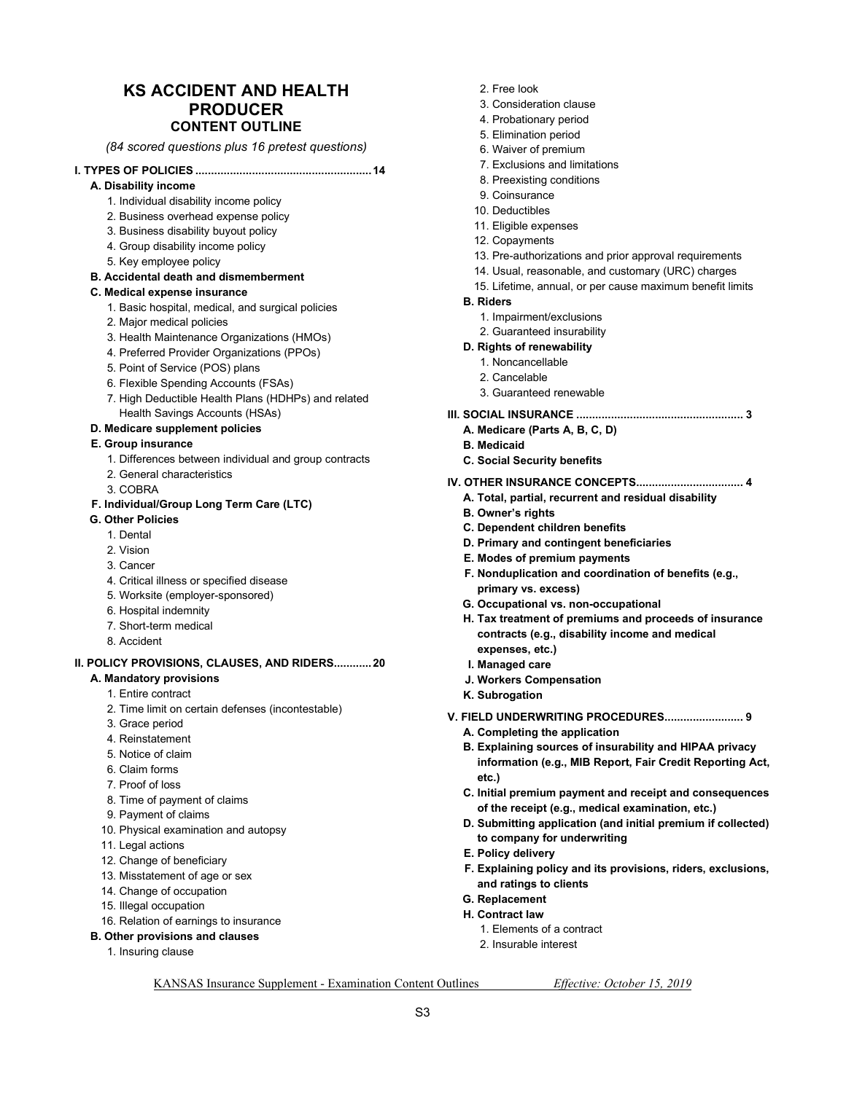### **KS ACCIDENT AND HEALTH PRODUCER CONTENT OUTLINE**

*(84 scored questions plus 16 pretest questions)* 

#### **I. TYPES OF POLICIES ........................................................ 14**

- **A. Disability income** 
	- 1. Individual disability income policy
	- 2. Business overhead expense policy
	- 3. Business disability buyout policy
	- 4. Group disability income policy
	- 5. Key employee policy

#### **B. Accidental death and dismemberment**

#### **C. Medical expense insurance**

- 1. Basic hospital, medical, and surgical policies
- 2. Major medical policies
- 3. Health Maintenance Organizations (HMOs)
- 4. Preferred Provider Organizations (PPOs)
- 5. Point of Service (POS) plans
- 6. Flexible Spending Accounts (FSAs)
- 7. High Deductible Health Plans (HDHPs) and related Health Savings Accounts (HSAs)

#### **D. Medicare supplement policies**

#### **E. Group insurance**

- 1. Differences between individual and group contracts
- 2. General characteristics
- 3. COBRA

#### **F. Individual/Group Long Term Care (LTC)**

- **G. Other Policies** 
	- 1. Dental
	- 2. Vision
	- 3. Cancer
	- 4. Critical illness or specified disease
	- 5. Worksite (employer-sponsored)
	- 6. Hospital indemnity
	- 7. Short-term medical
	- 8. Accident

### **II. POLICY PROVISIONS, CLAUSES, AND RIDERS ............ 20**

- **A. Mandatory provisions** 
	- 1. Entire contract
	- 2. Time limit on certain defenses (incontestable)
	- 3. Grace period
	- 4. Reinstatement
	- 5. Notice of claim
	- 6. Claim forms
	- 7. Proof of loss
	- 8. Time of payment of claims
	- 9. Payment of claims
	- 10. Physical examination and autopsy
	- 11. Legal actions
	- 12. Change of beneficiary
	- 13. Misstatement of age or sex
	- 14. Change of occupation
	- 15. Illegal occupation
	- 16. Relation of earnings to insurance
- **B. Other provisions and clauses** 
	- 1. Insuring clause
- 2. Free look
- 3. Consideration clause
- 4. Probationary period
- 5. Elimination period
- 6. Waiver of premium
- 7. Exclusions and limitations
- 8. Preexisting conditions
- 9. Coinsurance
- 10. Deductibles
- 11. Eligible expenses
- 12. Copayments
- 13. Pre-authorizations and prior approval requirements
- 14. Usual, reasonable, and customary (URC) charges
- 15. Lifetime, annual, or per cause maximum benefit limits
- **B. Riders** 
	- 1. Impairment/exclusions
	- 2. Guaranteed insurability

#### **D. Rights of renewability**

- 1. Noncancellable
- 2. Cancelable
- 3. Guaranteed renewable

#### **III. SOCIAL INSURANCE ..................................................... 3**

- **A. Medicare (Parts A, B, C, D)**
- **B. Medicaid**
- **C. Social Security benefits**
- **IV. OTHER INSURANCE CONCEPTS .................................. 4** 
	- **A. Total, partial, recurrent and residual disability**
	- **B. Owner's rights**
	- **C. Dependent children benefits**
	- **D. Primary and contingent beneficiaries**
	- **E. Modes of premium payments**
	- **F. Nonduplication and coordination of benefits (e.g., primary vs. excess)**
	- **G. Occupational vs. non-occupational**
	- **H. Tax treatment of premiums and proceeds of insurance contracts (e.g., disability income and medical expenses, etc.)**
	- **I. Managed care**
	- **J. Workers Compensation**
	- **K. Subrogation**
- **V. FIELD UNDERWRITING PROCEDURES ......................... 9** 
	- **A. Completing the application**

1. Elements of a contract 2. Insurable interest

- **B. Explaining sources of insurability and HIPAA privacy information (e.g., MIB Report, Fair Credit Reporting Act, etc.)**
- **C. Initial premium payment and receipt and consequences of the receipt (e.g., medical examination, etc.)**
- **D. Submitting application (and initial premium if collected) to company for underwriting**
- **E. Policy delivery**
- **F. Explaining policy and its provisions, riders, exclusions, and ratings to clients**
- **G. Replacement**
- **H. Contract law**

KANSAS Insurance Supplement - Examination Content Outlines *Effective: October 15, 2019* 

S3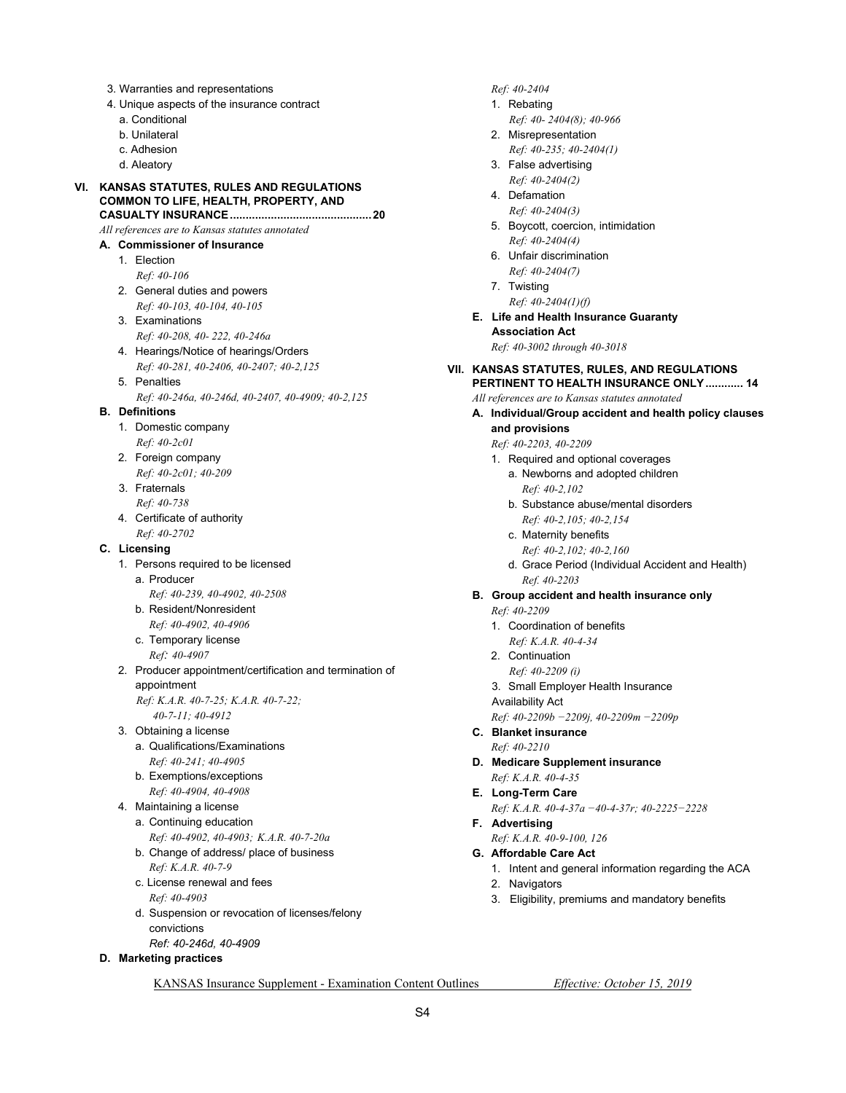- 3. Warranties and representations
- 4. Unique aspects of the insurance contract
	- a. Conditional
	- b. Unilateral
	- c. Adhesion
	- d. Aleatory

#### **VI. KANSAS STATUTES, RULES AND REGULATIONS COMMON TO LIFE, HEALTH, PROPERTY, AND CASUALTY INSURANCE ............................................. 20**

 *All references are to Kansas statutes annotated* 

#### **A. Commissioner of Insurance**

- 1. Election  *Ref: 40-106*
- 2. General duties and powers  *Ref: 40-103, 40-104, 40-105*
- 3. Examinations  *Ref: 40-208, 40- 222, 40-246a*
- 4. Hearings/Notice of hearings/Orders  *Ref: 40-281, 40-2406, 40-2407; 40-2,125*
- 5. Penalties
	- *Ref: 40-246a, 40-246d, 40-2407, 40-4909; 40-2,125*

#### **B. Definitions**

- 1. Domestic company  *Ref: 40-2c01*
- 2. Foreign company  *Ref: 40-2c01; 40-209*
- 3. Fraternals  *Ref: 40-738*
- 4. Certificate of authority  *Ref: 40-2702*

#### **C. Licensing**

- 1. Persons required to be licensed
	- a. Producer
		- *Ref: 40-239, 40-4902, 40-2508*
	- b. Resident/Nonresident
	- *Ref: 40-4902, 40-4906*
	- c. Temporary license  *Ref: 40-4907*
- 2. Producer appointment/certification and termination of appointment

 *Ref: K.A.R. 40-7-25; K.A.R. 40-7-22; 40-7-11; 40-4912* 

- 3. Obtaining a license a. Qualifications/Examinations
	- *Ref: 40-241; 40-4905*
	- b. Exemptions/exceptions  *Ref: 40-4904, 40-4908*
- 4. Maintaining a license
	- a. Continuing education  *Ref: 40-4902, 40-4903; K.A.R. 40-7-20a*
	- b. Change of address/ place of business  *Ref: K.A.R. 40-7-9*
	- c. License renewal and fees  *Ref: 40-4903*
	- d. Suspension or revocation of licenses/felony convictions
	- *Ref: 40-246d, 40-4909*

### **D. Marketing practices**

#### *Ref: 40-2404*

- 1. Rebating
	- *Ref: 40- 2404(8); 40-966*
- 2. Misrepresentation  *Ref: 40-235; 40-2404(1)*
- 3. False advertising  *Ref: 40-2404(2)*
- 4. Defamation
- *Ref: 40-2404(3)*  5. Boycott, coercion, intimidation  *Ref: 40-2404(4)*
- 6. Unfair discrimination  *Ref: 40-2404(7)*
- 7. Twisting  *Ref: 40-2404(1)(f)*
- **E. Life and Health Insurance Guaranty Association Act**   *Ref: 40-3002 through 40-3018*

#### **VII. KANSAS STATUTES, RULES, AND REGULATIONS PERTINENT TO HEALTH INSURANCE ONLY ............ 14**

 *All references are to Kansas statutes annotated* 

- **A. Individual/Group accident and health policy clauses and provisions** 
	- *Ref: 40-2203, 40-2209*
	- 1. Required and optional coverages
		- a. Newborns and adopted children  *Ref: 40-2,102*
		- b. Substance abuse/mental disorders  *Ref: 40-2,105; 40-2,154*
		- c. Maternity benefits
			- *Ref: 40-2,102; 40-2,160*
		- d. Grace Period (Individual Accident and Health)  *Ref. 40-2203*
- **B. Group accident and health insurance only** 
	- *Ref: 40-2209*
	- 1. Coordination of benefits
		- *Ref: K.A.R. 40-4-34*
	- 2. Continuation
		- *Ref: 40-2209 (i)*
	- 3. Small Employer Health Insurance
	- Availability Act
	- *Ref: 40-2209b −2209j, 40-2209m −2209p*
- **C. Blanket insurance**   *Ref: 40-2210*
- **D. Medicare Supplement insurance**   *Ref: K.A.R. 40-4-35*
- **E. Long-Term Care**
- *Ref: K.A.R. 40-4-37a −40-4-37r; 40-2225−2228*   **F. Advertising** 
	- *Ref: K.A.R. 40-9-100, 126*
- **G. Affordable Care Act** 
	- 1. Intent and general information regarding the ACA
	- 2. Navigators
	- 3. Eligibility, premiums and mandatory benefits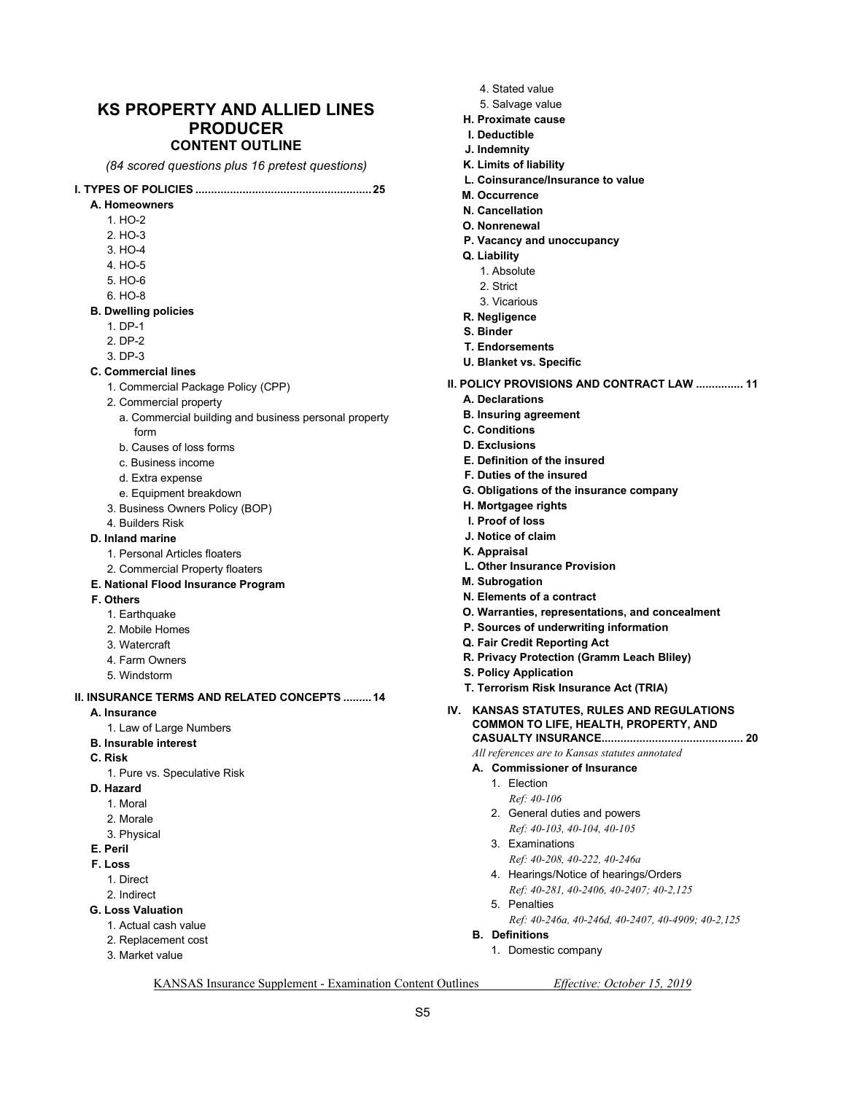### **KS PROPERTY AND ALLIED LINES PRODUCER CONTENT OUTLINE**

*(84 scored questions plus 16 pretest questions)* 

#### **I. TYPES OF POLICIES ........................................................ 25**

- **A. Homeowners** 
	- 1. HO-2
	- 2. HO-3
	- 3. HO-4
	- 4. HO-5
	- 5. HO-6
	- 6. HO-8
- **B. Dwelling policies** 
	- 1. DP-1
	- 2. DP-2
	- 3. DP-3
- **C. Commercial lines** 
	- 1. Commercial Package Policy (CPP)
	- 2. Commercial property
		- a. Commercial building and business personal property form
		- b. Causes of loss forms
		- c. Business income
		- d. Extra expense
		- e. Equipment breakdown
	- 3. Business Owners Policy (BOP)
- 4. Builders Risk
- **D. Inland marine** 
	- 1. Personal Articles floaters
	- 2. Commercial Property floaters
- **E. National Flood Insurance Program**
- **F. Others** 
	- 1. Earthquake
	- 2. Mobile Homes
	- 3. Watercraft
	- 4. Farm Owners
	- 5. Windstorm

#### **II. INSURANCE TERMS AND RELATED CONCEPTS ......... 14**

- **A. Insurance** 
	- 1. Law of Large Numbers
- **B. Insurable interest**
- **C. Risk** 
	- 1. Pure vs. Speculative Risk
- **D. Hazard** 
	- 1. Moral
	- 2. Morale
	- 3. Physical
- **E. Peril**
- **F. Loss** 
	- 1. Direct
	- 2. Indirect
- **G. Loss Valuation** 
	- 1. Actual cash value
	- 2. Replacement cost
	- 3. Market value
- 4. Stated value
- 5. Salvage value
- **H. Proximate cause**
- **I. Deductible**
- **J. Indemnity**
- **K. Limits of liability**
- **L. Coinsurance/Insurance to value**
- **M. Occurrence**
- **N. Cancellation**
- **O. Nonrenewal**
- **P. Vacancy and unoccupancy**
- **Q. Liability** 
	- 1. Absolute
	- 2. Strict
	- 3. Vicarious
- **R. Negligence**
- **S. Binder**
- **T. Endorsements**
- **U. Blanket vs. Specific**
- **II. POLICY PROVISIONS AND CONTRACT LAW ............... 11** 
	- **A. Declarations**
	- **B. Insuring agreement**
	- **C. Conditions**
	- **D. Exclusions**
	- **E. Definition of the insured**
	- **F. Duties of the insured**
	- **G. Obligations of the insurance company**
	- **H. Mortgagee rights**
	- **I. Proof of loss**
	- **J. Notice of claim**
	- **K. Appraisal**
	- **L. Other Insurance Provision**
	- **M. Subrogation**
	- **N. Elements of a contract**
	- **O. Warranties, representations, and concealment**
	- **P. Sources of underwriting information**
	- **Q. Fair Credit Reporting Act**
	- **R. Privacy Protection (Gramm Leach Bliley)**
	- **S. Policy Application**
	- **T. Terrorism Risk Insurance Act (TRIA)**
- **IV. KANSAS STATUTES, RULES AND REGULATIONS COMMON TO LIFE, HEALTH, PROPERTY, AND CASUALTY INSURANCE ............................................. 20**

 *All references are to Kansas statutes annotated* 

- **A. Commissioner of Insurance** 
	- 1. Election
	- *Ref: 40-106*

5. Penalties

 **B. Definitions** 

KANSAS Insurance Supplement - Examination Content Outlines *Effective: October 15, 2019* 

S5

- 2. General duties and powers
- *Ref: 40-103, 40-104, 40-105*  3. Examinations

1. Domestic company

 *Ref: 40-208, 40-222, 40-246a* 

 4. Hearings/Notice of hearings/Orders  *Ref: 40-281, 40-2406, 40-2407; 40-2,125* 

*Ref: 40-246a, 40-246d, 40-2407, 40-4909; 40-2,125*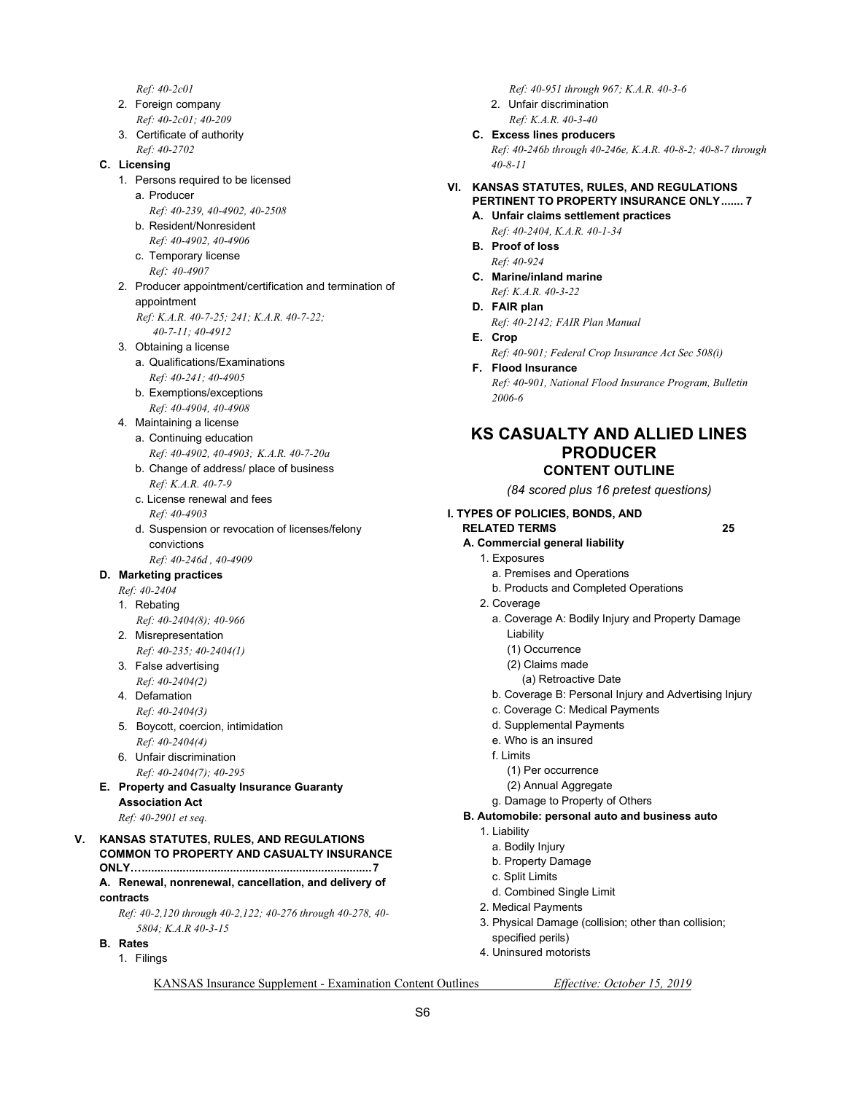- *Ref: 40-2c01*
- 2. Foreign company  *Ref: 40-2c01; 40-209*
- 3. Certificate of authority  *Ref: 40-2702*

#### **C. Licensing**

- 1. Persons required to be licensed a. Producer  *Ref: 40-239, 40-4902, 40-2508*
	- b. Resident/Nonresident  *Ref: 40-4902, 40-4906*
	- c. Temporary license
- *Ref: 40-4907* 2. Producer appointment/certification and termination of appointment
	- *Ref: K.A.R. 40-7-25; 241; K.A.R. 40-7-22; 40-7-11; 40-4912*
- 3. Obtaining a license
	- a. Qualifications/Examinations  *Ref: 40-241; 40-4905*
	- b. Exemptions/exceptions
	- *Ref: 40-4904, 40-4908*
- 4. Maintaining a license
	- a. Continuing education  *Ref: 40-4902, 40-4903; K.A.R. 40-7-20a*
	- b. Change of address/ place of business  *Ref: K.A.R. 40-7-9*
	- c. License renewal and fees  *Ref: 40-4903*
	- d. Suspension or revocation of licenses/felony convictions
	- *Ref: 40-246d , 40-4909*

#### **D. Marketing practices**

- *Ref: 40-2404*
- 1. Rebating
- *Ref: 40-2404(8); 40-966*
- 2. Misrepresentation  *Ref: 40-235; 40-2404(1)*
- 3. False advertising  *Ref: 40-2404(2)*
- 4. Defamation
- *Ref: 40-2404(3)*
- 5. Boycott, coercion, intimidation  *Ref: 40-2404(4)*
- 6. Unfair discrimination  *Ref: 40-2404(7); 40-295*
- **E. Property and Casualty Insurance Guaranty Association Act**   *Ref: 40-2901 et seq.*

**V. KANSAS STATUTES, RULES, AND REGULATIONS COMMON TO PROPERTY AND CASUALTY INSURANCE ONLY… ......................................................................... 7 A. Renewal, nonrenewal, cancellation, and delivery of** 

**contracts** 

*Ref: 40-2,120 through 40-2,122; 40-276 through 40-278, 40- 5804; K.A.R 40-3-15* 

- **B. Rates** 
	- 1. Filings

 *Ref: 40-951 through 967; K.A.R. 40-3-6* 

 2. Unfair discrimination  *Ref: K.A.R. 40-3-40* 

 **C. Excess lines producers** 

*Ref: 40-246b through 40-246e, K.A.R. 40-8-2; 40-8-7 through 40-8-11* 

- **VI. KANSAS STATUTES, RULES, AND REGULATIONS PERTINENT TO PROPERTY INSURANCE ONLY ....... 7** 
	- **A. Unfair claims settlement practices**
	- *Ref: 40-2404, K.A.R. 40-1-34*   **B. Proof of loss**
	- *Ref: 40-924*   **C. Marine/inland marine**
	- *Ref: K.A.R. 40-3-22*
	- **D. FAIR plan**   *Ref: 40-2142; FAIR Plan Manual*
	- **E. Crop**   *Ref: 40-901; Federal Crop Insurance Act Sec 508(i)*
	- **F. Flood Insurance**

 *Ref: 40-901, National Flood Insurance Program, Bulletin 2006-6* 

### **KS CASUALTY AND ALLIED LINES PRODUCER CONTENT OUTLINE**

*(84 scored plus 16 pretest questions)* 

### **I. TYPES OF POLICIES, BONDS, AND**

- **RELATED TERMS 25**
- **A. Commercial general liability** 
	- 1. Exposures
		- a. Premises and Operations
		- b. Products and Completed Operations
	- 2. Coverage
		- a. Coverage A: Bodily Injury and Property Damage Liability
			- (1) Occurrence
			- (2) Claims made
			- (a) Retroactive Date
		- b. Coverage B: Personal Injury and Advertising Injury
		- c. Coverage C: Medical Payments
		- d. Supplemental Payments
		- e. Who is an insured
		- f. Limits
			- (1) Per occurrence
			- (2) Annual Aggregate
		- g. Damage to Property of Others
- **B. Automobile: personal auto and business auto** 
	- 1. Liability
		- a. Bodily Injury
		- b. Property Damage
		- c. Split Limits
		- d. Combined Single Limit
	- 2. Medical Payments
	- 3. Physical Damage (collision; other than collision; specified perils)
	- 4. Uninsured motorists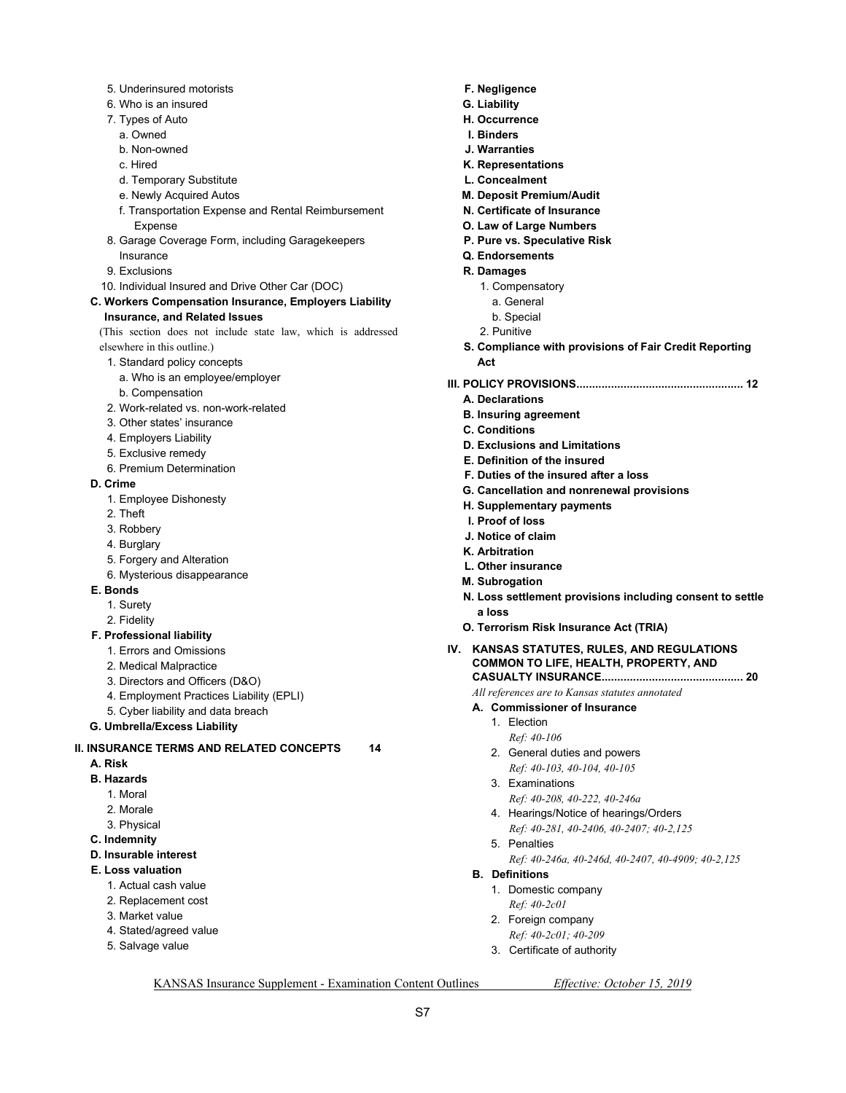- 5. Underinsured motorists
- 6. Who is an insured
- 7. Types of Auto
- a. Owned
- b. Non-owned
- c. Hired
- d. Temporary Substitute
- e. Newly Acquired Autos
- f. Transportation Expense and Rental Reimbursement Expense
- 8. Garage Coverage Form, including Garagekeepers Insurance
- 9. Exclusions
- 10. Individual Insured and Drive Other Car (DOC)
- **C. Workers Compensation Insurance, Employers Liability Insurance, and Related Issues**

(This section does not include state law, which is addressed elsewhere in this outline.)

- 1. Standard policy concepts
- a. Who is an employee/employer
- b. Compensation
- 2. Work-related vs. non-work-related
- 3. Other states' insurance
- 4. Employers Liability
- 5. Exclusive remedy
- 6. Premium Determination
- **D. Crime** 
	- 1. Employee Dishonesty
	- 2. Theft
	- 3. Robbery
	- 4. Burglary
	- 5. Forgery and Alteration
	- 6. Mysterious disappearance
- **E. Bonds** 
	- 1. Surety
	- 2. Fidelity

#### **F. Professional liability**

- 1. Errors and Omissions
- 2. Medical Malpractice
- 3. Directors and Officers (D&O)
- 4. Employment Practices Liability (EPLI)
- 5. Cyber liability and data breach
- **G. Umbrella/Excess Liability**

#### **II. INSURANCE TERMS AND RELATED CONCEPTS 14**

- **A. Risk**
- **B. Hazards** 
	- 1. Moral
	- 2. Morale
	- 3. Physical
- **C. Indemnity**
- **D. Insurable interest**
- **E. Loss valuation** 
	- 1. Actual cash value
	- 2. Replacement cost
	- 3. Market value
	- 4. Stated/agreed value
	- 5. Salvage value
- **F. Negligence**
- **G. Liability**
- **H. Occurrence**
- **I. Binders**
- **J. Warranties**
- **K. Representations**
- **L. Concealment**
- **M. Deposit Premium/Audit**
- **N. Certificate of Insurance**
- **O. Law of Large Numbers**
- **P. Pure vs. Speculative Risk**
- **Q. Endorsements**
- **R. Damages** 
	- 1. Compensatory
		- a. General
	- b. Special
	- 2. Punitive
- **S. Compliance with provisions of Fair Credit Reporting Act**
- **III. POLICY PROVISIONS ..................................................... 12** 
	- **A. Declarations**
	- **B. Insuring agreement**
	- **C. Conditions**
	- **D. Exclusions and Limitations**
	- **E. Definition of the insured**
	- **F. Duties of the insured after a loss**
	- **G. Cancellation and nonrenewal provisions**
	- **H. Supplementary payments**
	- **I. Proof of loss**
	- **J. Notice of claim**
	- **K. Arbitration**
	- **L. Other insurance**
	- **M. Subrogation**
	- **N. Loss settlement provisions including consent to settle a loss**
	- **O. Terrorism Risk Insurance Act (TRIA)**
- **IV. KANSAS STATUTES, RULES, AND REGULATIONS COMMON TO LIFE, HEALTH, PROPERTY, AND CASUALTY INSURANCE ............................................. 20** 
	- *All references are to Kansas statutes annotated*
	- **A. Commissioner of Insurance** 
		- 1. Election
			- *Ref: 40-106*
		- 2. General duties and powers  *Ref: 40-103, 40-104, 40-105*
		- 3. Examinations
		- *Ref: 40-208, 40-222, 40-246a*
		- 4. Hearings/Notice of hearings/Orders  *Ref: 40-281, 40-2406, 40-2407; 40-2,125*
		- 5. Penalties
			- *Ref: 40-246a, 40-246d, 40-2407, 40-4909; 40-2,125*
	- **B. Definitions**

KANSAS Insurance Supplement - Examination Content Outlines *Effective: October 15, 2019* 

S7

 1. Domestic company  *Ref: 40-2c01* 

 2. Foreign company  *Ref: 40-2c01; 40-209*  3. Certificate of authority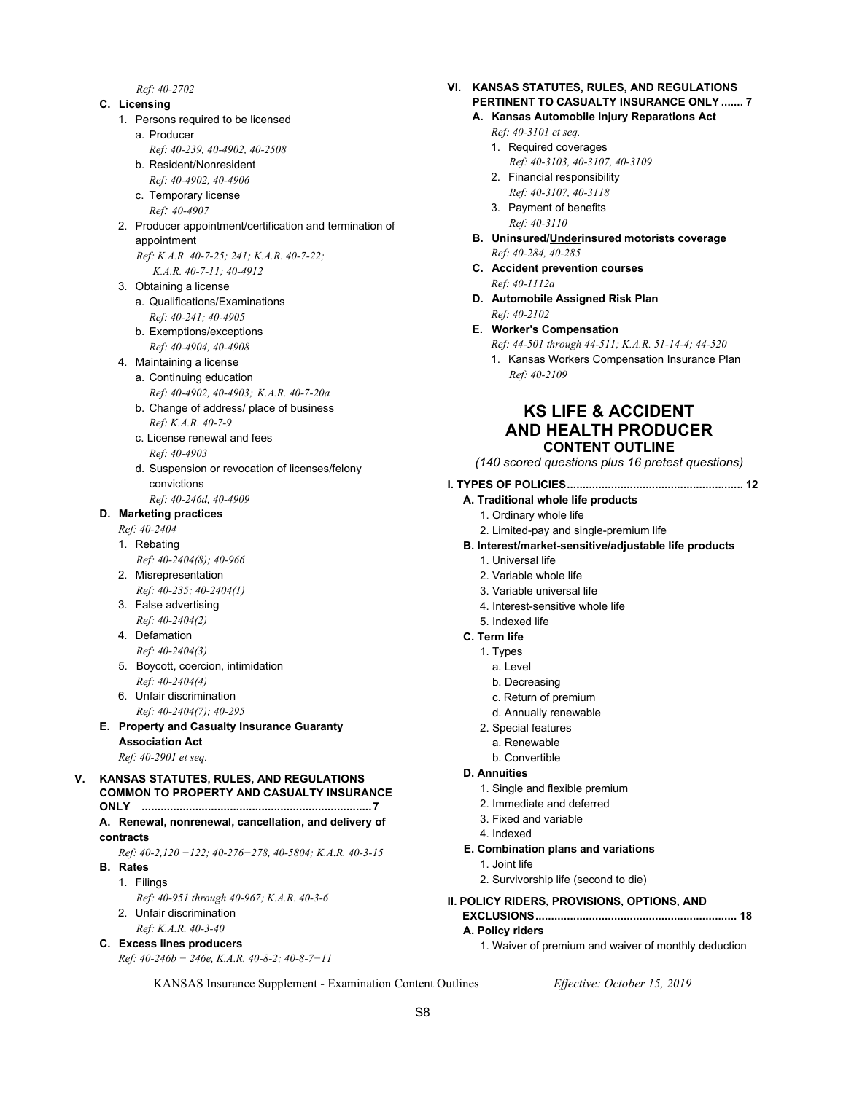*Ref: 40-2702* 

#### **C. Licensing**

- 1. Persons required to be licensed
	- a. Producer
	- *Ref: 40-239, 40-4902, 40-2508*
	- b. Resident/Nonresident  *Ref: 40-4902, 40-4906*
	- c. Temporary license
	- *Ref: 40-4907*
- 2. Producer appointment/certification and termination of appointment
	- *Ref: K.A.R. 40-7-25; 241; K.A.R. 40-7-22; K.A.R. 40-7-11; 40-4912*
- 3. Obtaining a license
	- a. Qualifications/Examinations  *Ref: 40-241; 40-4905*
	- b. Exemptions/exceptions  *Ref: 40-4904, 40-4908*
- 4. Maintaining a license a. Continuing education
	- *Ref: 40-4902, 40-4903; K.A.R. 40-7-20a*  b. Change of address/ place of business
	- *Ref: K.A.R. 40-7-9*
	- c. License renewal and fees  *Ref: 40-4903*
	- d. Suspension or revocation of licenses/felony convictions
- *Ref: 40-246d, 40-4909*

### **D. Marketing practices**

- *Ref: 40-2404*
- 1. Rebating  *Ref: 40-2404(8); 40-966*
- 2. Misrepresentation
- *Ref: 40-235; 40-2404(1)*  3. False advertising
- *Ref: 40-2404(2)*
- 4. Defamation  *Ref: 40-2404(3)*
- 5. Boycott, coercion, intimidation  *Ref: 40-2404(4)*
- 6. Unfair discrimination  *Ref: 40-2404(7); 40-295*

#### **E. Property and Casualty Insurance Guaranty Association Act**

 *Ref: 40-2901 et seq.* 

#### **V. KANSAS STATUTES, RULES, AND REGULATIONS COMMON TO PROPERTY AND CASUALTY INSURANCE ONLY ......................................................................... 7**

- **A. Renewal, nonrenewal, cancellation, and delivery of contracts**
- *Ref: 40-2,120 −122; 40-276−278, 40-5804; K.A.R. 40-3-15*   **B. Rates** 
	- 1. Filings
	- *Ref: 40-951 through 40-967; K.A.R. 40-3-6*  2. Unfair discrimination
		- *Ref: K.A.R. 40-3-40*
- **C. Excess lines producers** 
	- *Ref: 40-246b − 246e, K.A.R. 40-8-2; 40-8-7−11*

#### **VI. KANSAS STATUTES, RULES, AND REGULATIONS PERTINENT TO CASUALTY INSURANCE ONLY ....... 7**

- **A. Kansas Automobile Injury Reparations Act** 
	- *Ref: 40-3101 et seq.*
	- 1. Required coverages
		- *Ref: 40-3103, 40-3107, 40-3109*
	- 2. Financial responsibility  *Ref: 40-3107, 40-3118*
	- 3. Payment of benefits  *Ref: 40-3110*
- **B. Uninsured/Underinsured motorists coverage**   *Ref: 40-284, 40-285*
- **C. Accident prevention courses**   *Ref: 40-1112a*
- **D. Automobile Assigned Risk Plan**   *Ref: 40-2102*
- **E. Worker's Compensation** 
	- *Ref: 44-501 through 44-511; K.A.R. 51-14-4; 44-520*
	- 1. Kansas Workers Compensation Insurance Plan  *Ref: 40-2109*

### **KS LIFE & ACCIDENT AND HEALTH PRODUCER CONTENT OUTLINE**

*(140 scored questions plus 16 pretest questions)* 

#### **I. TYPES OF POLICIES ........................................................ 12**

- **A. Traditional whole life products** 
	- 1. Ordinary whole life
	- 2. Limited-pay and single-premium life
- **B. Interest/market-sensitive/adjustable life products** 
	- 1. Universal life
	- 2. Variable whole life
	- 3. Variable universal life
	- 4. Interest-sensitive whole life
	- 5. Indexed life

#### **C. Term life**

- 1. Types
	- a. Level
	- b. Decreasing
	- c. Return of premium
	- d. Annually renewable
- 2. Special features
- a. Renewable
- b. Convertible

#### **D. Annuities**

- 1. Single and flexible premium
- 2. Immediate and deferred
- 3. Fixed and variable
- 4. Indexed
- **E. Combination plans and variations** 
	- 1. Joint life
	- 2. Survivorship life (second to die)

**II. POLICY RIDERS, PROVISIONS, OPTIONS, AND EXCLUSIONS ................................................................ 18** 

### **A. Policy riders**

1. Waiver of premium and waiver of monthly deduction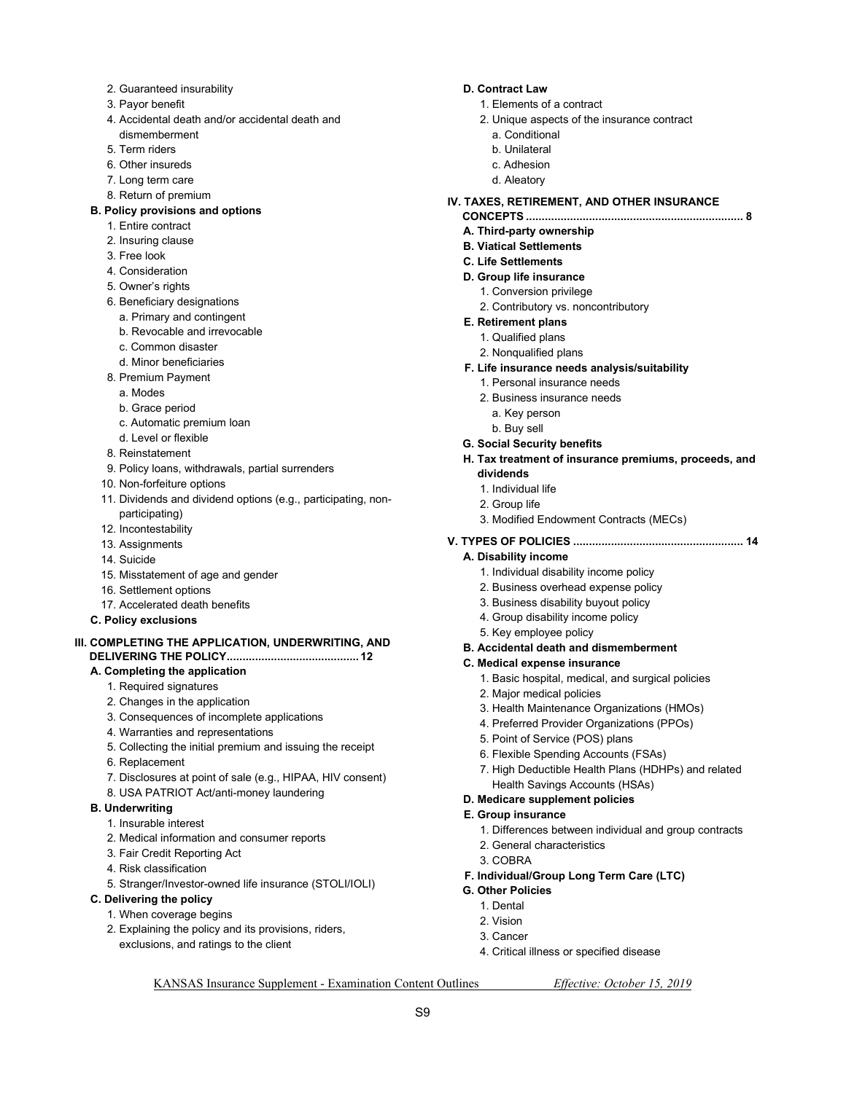- 2. Guaranteed insurability
- 3. Payor benefit
- 4. Accidental death and/or accidental death and dismemberment
- 5. Term riders
- 6. Other insureds
- 7. Long term care
- 8. Return of premium

#### **B. Policy provisions and options**

- 1. Entire contract
- 2. Insuring clause
- 3. Free look
- 4. Consideration
- 5. Owner's rights
- 6. Beneficiary designations
	- a. Primary and contingent
	- b. Revocable and irrevocable
	- c. Common disaster
- d. Minor beneficiaries
- 8. Premium Payment
	- a. Modes
	- b. Grace period
	- c. Automatic premium loan
	- d. Level or flexible
- 8. Reinstatement
- 9. Policy loans, withdrawals, partial surrenders
- 10. Non-forfeiture options
- 11. Dividends and dividend options (e.g., participating, nonparticipating)
- 12. Incontestability
- 13. Assignments
- 14. Suicide
- 15. Misstatement of age and gender
- 16. Settlement options
- 17. Accelerated death benefits
- **C. Policy exclusions**

#### **III. COMPLETING THE APPLICATION, UNDERWRITING, AND DELIVERING THE POLICY .......................................... 12**

#### **A. Completing the application**

- 1. Required signatures
- 2. Changes in the application
- 3. Consequences of incomplete applications
- 4. Warranties and representations
- 5. Collecting the initial premium and issuing the receipt
- 6. Replacement
- 7. Disclosures at point of sale (e.g., HIPAA, HIV consent)
- 8. USA PATRIOT Act/anti-money laundering

#### **B. Underwriting**

- 1. Insurable interest
- 2. Medical information and consumer reports
- 3. Fair Credit Reporting Act
- 4. Risk classification
- 5. Stranger/Investor-owned life insurance (STOLI/IOLI)
- **C. Delivering the policy** 
	- 1. When coverage begins
	- 2. Explaining the policy and its provisions, riders, exclusions, and ratings to the client

#### **D. Contract Law**

- 1. Elements of a contract
- 2. Unique aspects of the insurance contract
	- a. Conditional
	- b. Unilateral
	- c. Adhesion
	- d. Aleatory

#### **IV. TAXES, RETIREMENT, AND OTHER INSURANCE**

- **CONCEPTS ..................................................................... 8 A. Third-party ownership**
- **B. Viatical Settlements**
- **C. Life Settlements**

### **D. Group life insurance**

- 1. Conversion privilege
- 2. Contributory vs. noncontributory

#### **E. Retirement plans**

- 1. Qualified plans
	- 2. Nonqualified plans
- **F. Life insurance needs analysis/suitability** 
	- 1. Personal insurance needs
	- 2. Business insurance needs
		- a. Key person
		- b. Buy sell
- **G. Social Security benefits**
- **H. Tax treatment of insurance premiums, proceeds, and dividends** 
	- 1. Individual life
	- 2. Group life
	- 3. Modified Endowment Contracts (MECs)

### **V. TYPES OF POLICIES ...................................................... 14**

#### **A. Disability income**

- 1. Individual disability income policy
- 2. Business overhead expense policy
- 3. Business disability buyout policy
- 4. Group disability income policy
- 5. Key employee policy
- **B. Accidental death and dismemberment**

#### **C. Medical expense insurance**

- 1. Basic hospital, medical, and surgical policies
- 2. Major medical policies
- 3. Health Maintenance Organizations (HMOs)
- 4. Preferred Provider Organizations (PPOs)
- 5. Point of Service (POS) plans
- 6. Flexible Spending Accounts (FSAs)

**F. Individual/Group Long Term Care (LTC)** 

4. Critical illness or specified disease

- 7. High Deductible Health Plans (HDHPs) and related Health Savings Accounts (HSAs)
- **D. Medicare supplement policies**

#### **E. Group insurance**

3. COBRA

**G. Other Policies**  1. Dental 2. Vision 3. Cancer

KANSAS Insurance Supplement - Examination Content Outlines *Effective: October 15, 2019* 

S9

- 1. Differences between individual and group contracts
- 2. General characteristics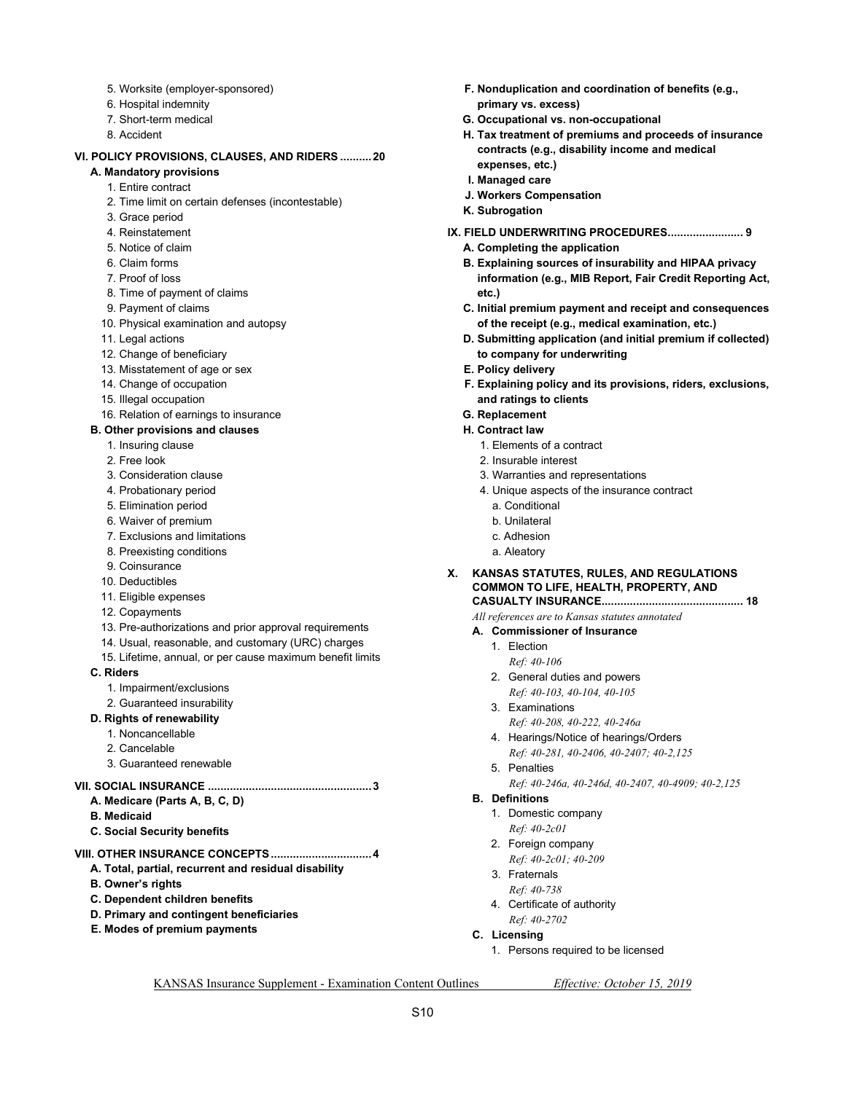- 5. Worksite (employer-sponsored)
- 6. Hospital indemnity
- 7. Short-term medical
- 8. Accident

#### **VI. POLICY PROVISIONS, CLAUSES, AND RIDERS .......... 20**

- **A. Mandatory provisions** 
	- 1. Entire contract
	- 2. Time limit on certain defenses (incontestable)
	- 3. Grace period
	- 4. Reinstatement
	- 5. Notice of claim
	- 6. Claim forms
	- 7. Proof of loss
	- 8. Time of payment of claims
	- 9. Payment of claims
	- 10. Physical examination and autopsy
	- 11. Legal actions
	- 12. Change of beneficiary
	- 13. Misstatement of age or sex
	- 14. Change of occupation
	- 15. Illegal occupation
	- 16. Relation of earnings to insurance

#### **B. Other provisions and clauses**

- 1. Insuring clause
- 2. Free look
- 3. Consideration clause
- 4. Probationary period
- 5. Elimination period
- 6. Waiver of premium
- 7. Exclusions and limitations
- 8. Preexisting conditions
- 9. Coinsurance
- 10. Deductibles
- 11. Eligible expenses
- 12. Copayments
- 13. Pre-authorizations and prior approval requirements
- 14. Usual, reasonable, and customary (URC) charges
- 15. Lifetime, annual, or per cause maximum benefit limits
- **C. Riders** 
	- 1. Impairment/exclusions
	- 2. Guaranteed insurability

#### **D. Rights of renewability**

- 1. Noncancellable
- 2. Cancelable
- 3. Guaranteed renewable

#### **VII. SOCIAL INSURANCE .................................................... 3**

- **A. Medicare (Parts A, B, C, D)**
- **B. Medicaid**
- **C. Social Security benefits**

### **VIII. OTHER INSURANCE CONCEPTS ................................ 4**

- **A. Total, partial, recurrent and residual disability**
- **B. Owner's rights**
- **C. Dependent children benefits**
- **D. Primary and contingent beneficiaries**
- **E. Modes of premium payments**
- **F. Nonduplication and coordination of benefits (e.g., primary vs. excess)**
- **G. Occupational vs. non-occupational**
- **H. Tax treatment of premiums and proceeds of insurance contracts (e.g., disability income and medical expenses, etc.)**
- **I. Managed care**
- **J. Workers Compensation**
- **K. Subrogation**
- **IX. FIELD UNDERWRITING PROCEDURES ........................ 9** 
	- **A. Completing the application**
	- **B. Explaining sources of insurability and HIPAA privacy information (e.g., MIB Report, Fair Credit Reporting Act, etc.)**
	- **C. Initial premium payment and receipt and consequences of the receipt (e.g., medical examination, etc.)**
	- **D. Submitting application (and initial premium if collected) to company for underwriting**
	- **E. Policy delivery**
	- **F. Explaining policy and its provisions, riders, exclusions, and ratings to clients**
	- **G. Replacement**
	- **H. Contract law** 
		- 1. Elements of a contract
		- 2. Insurable interest
		- 3. Warranties and representations
		- 4. Unique aspects of the insurance contract
			- a. Conditional
			- b. Unilateral
		- c. Adhesion
		- a. Aleatory
- **X. KANSAS STATUTES, RULES, AND REGULATIONS COMMON TO LIFE, HEALTH, PROPERTY, AND CASUALTY INSURANCE ............................................. 18**

- *All references are to Kansas statutes annotated*
- **A. Commissioner of Insurance** 
	- 1. Election
	- *Ref: 40-106*  2. General duties and powers
	- *Ref: 40-103, 40-104, 40-105*
	- 3. Examinations
	- *Ref: 40-208, 40-222, 40-246a*
	- 4. Hearings/Notice of hearings/Orders  *Ref: 40-281, 40-2406, 40-2407; 40-2,125*
	- 5. Penalties
		- *Ref: 40-246a, 40-246d, 40-2407, 40-4909; 40-2,125*
- **B. Definitions** 
	- 1. Domestic company  *Ref: 40-2c01*
	- 2. Foreign company *Ref: 40-2c01; 40-209*
	- 3. Fraternals
	- *Ref: 40-738*
	- 4. Certificate of authority  *Ref: 40-2702*
- **C. Licensing** 
	- 1. Persons required to be licensed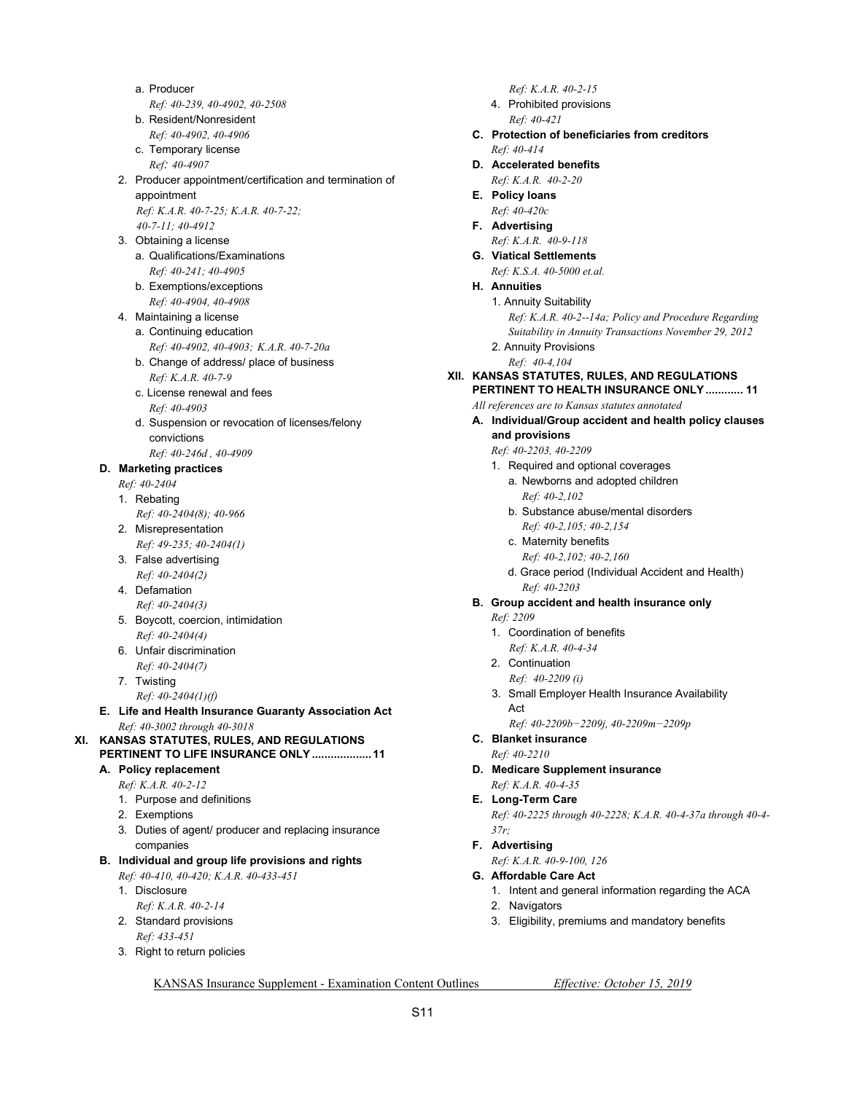- a. Producer  *Ref: 40-239, 40-4902, 40-2508* b. Resident/Nonresident
- *Ref: 40-4902, 40-4906* c. Temporary license
- *Ref: 40-4907*
- 2. Producer appointment/certification and termination of appointment  *Ref: K.A.R. 40-7-25; K.A.R. 40-7-22;*
- *40-7-11; 40-4912*  3. Obtaining a license
	- a. Qualifications/Examinations  *Ref: 40-241; 40-4905*
	- b. Exemptions/exceptions  *Ref: 40-4904, 40-4908*
- 4. Maintaining a license
	- a. Continuing education  *Ref: 40-4902, 40-4903; K.A.R. 40-7-20a*
	- b. Change of address/ place of business  *Ref: K.A.R. 40-7-9*
	- c. License renewal and fees  *Ref: 40-4903*
	- d. Suspension or revocation of licenses/felony convictions
	- *Ref: 40-246d , 40-4909*

### **D. Marketing practices**

- *Ref: 40-2404*
- 1. Rebating
- *Ref: 40-2404(8); 40-966*
- 2. Misrepresentation  *Ref: 49-235; 40-2404(1)*
- 3. False advertising
- *Ref: 40-2404(2)*  4. Defamation
- *Ref: 40-2404(3)*  5. Boycott, coercion, intimidation
- *Ref: 40-2404(4)*  6. Unfair discrimination
- *Ref: 40-2404(7)*
- 7. Twisting
	- *Ref: 40-2404(1)(f)*
- **E. Life and Health Insurance Guaranty Association Act**   *Ref: 40-3002 through 40-3018*
- **XI. KANSAS STATUTES, RULES, AND REGULATIONS PERTINENT TO LIFE INSURANCE ONLY ................... 11** 
	- **A. Policy replacement** 
		- *Ref: K.A.R. 40-2-12*  1. Purpose and definitions
		- 2. Exemptions
		-
		- 3. Duties of agent/ producer and replacing insurance companies

### **B. Individual and group life provisions and rights**

 *Ref: 40-410, 40-420; K.A.R. 40-433-451* 

- 1. Disclosure  *Ref: K.A.R. 40-2-14*
- 2. Standard provisions
	- *Ref: 433-451*
- 3. Right to return policies
- *Ref: K.A.R. 40-2-15*
- 4. Prohibited provisions  *Ref: 40-421*
- **C. Protection of beneficiaries from creditors**   *Ref: 40-414*
- **D. Accelerated benefits** 
	- *Ref: K.A.R. 40-2-20*
- **E. Policy loans**   *Ref: 40-420c*
- **F. Advertising**
- *Ref: K.A.R. 40-9-118*   **G. Viatical Settlements** 
	- *Ref: K.S.A. 40-5000 et.al.*
- **H. Annuities**
- 1. Annuity Suitability
	- *Ref: K.A.R. 40-2--14a; Policy and Procedure Regarding Suitability in Annuity Transactions November 29, 2012*
	- 2. Annuity Provisions
	- *Ref: 40-4,104*

#### **XII. KANSAS STATUTES, RULES, AND REGULATIONS PERTINENT TO HEALTH INSURANCE ONLY ............ 11**

 *All references are to Kansas statutes annotated* 

- **A. Individual/Group accident and health policy clauses and provisions** 
	- *Ref: 40-2203, 40-2209*
	- 1. Required and optional coverages
		- a. Newborns and adopted children  *Ref: 40-2,102*
		- b. Substance abuse/mental disorders
			- *Ref: 40-2,105; 40-2,154*
		- c. Maternity benefits
			- *Ref: 40-2,102; 40-2,160*
		- d. Grace period (Individual Accident and Health) *Ref: 40-2203*
- **B. Group accident and health insurance only**
	- *Ref: 2209*
	- 1. Coordination of benefits
	- *Ref: K.A.R. 40-4-34*  2. Continuation
	- *Ref: 40-2209 (i)*
	- 3. Small Employer Health Insurance Availability Act
		- *Ref: 40-2209b−2209j, 40-2209m−2209p*
- **C. Blanket insurance** 
	- *Ref: 40-2210*
- **D. Medicare Supplement insurance**   *Ref: K.A.R. 40-4-35*
- **E. Long-Term Care** 
	- *Ref: 40-2225 through 40-2228; K.A.R. 40-4-37a through 40-4- 37r;*
- **F. Advertising** 
	- *Ref: K.A.R. 40-9-100, 126*
- **G. Affordable Care Act** 
	- 1. Intent and general information regarding the ACA
	- 2. Navigators
	- 3. Eligibility, premiums and mandatory benefits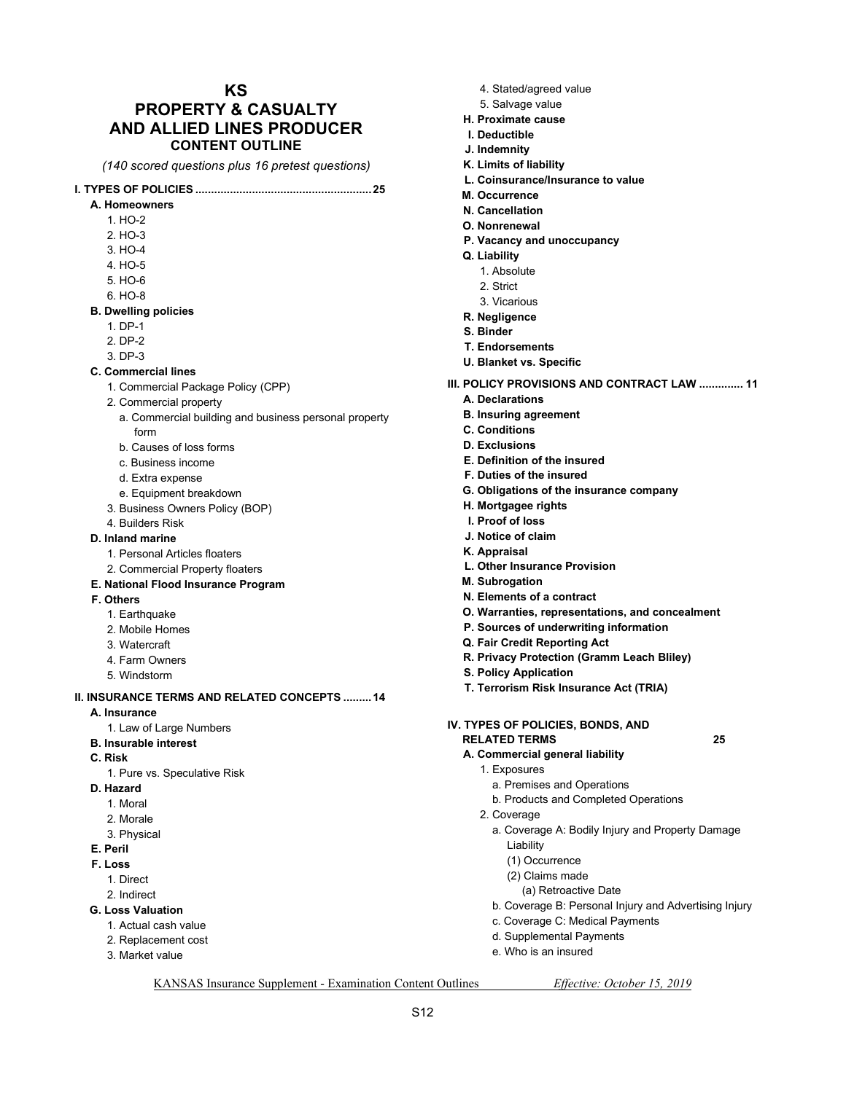### **KS PROPERTY & CASUALTY AND ALLIED LINES PRODUCER CONTENT OUTLINE**

*(140 scored questions plus 16 pretest questions)*

#### **I. TYPES OF POLICIES ........................................................ 25**

- **A. Homeowners** 
	- 1. HO-2
	- 2. HO-3
	- 3. HO-4
	- 4. HO-5
	- 5. HO-6
	- 6. HO-8

#### **B. Dwelling policies**

- 1. DP-1
- 2. DP-2
- 3. DP-3
- **C. Commercial lines** 
	- 1. Commercial Package Policy (CPP)
	- 2. Commercial property
		- a. Commercial building and business personal property form
		- b. Causes of loss forms
		- c. Business income
		- d. Extra expense
		- e. Equipment breakdown
	- 3. Business Owners Policy (BOP)
- 4. Builders Risk
- **D. Inland marine** 
	- 1. Personal Articles floaters
	- 2. Commercial Property floaters
- **E. National Flood Insurance Program**
- **F. Others** 
	- 1. Earthquake
	- 2. Mobile Homes
	- 3. Watercraft
	- 4. Farm Owners
	- 5. Windstorm

#### **II. INSURANCE TERMS AND RELATED CONCEPTS ......... 14**

- **A. Insurance** 
	- 1. Law of Large Numbers
- **B. Insurable interest**
- **C. Risk** 
	- 1. Pure vs. Speculative Risk
- **D. Hazard** 
	- 1. Moral
	- 2. Morale
	- 3. Physical
- **E. Peril**
- **F. Loss** 
	- 1. Direct
	- 2. Indirect
- **G. Loss Valuation** 
	- 1. Actual cash value
	- 2. Replacement cost
	- 3. Market value
- 4. Stated/agreed value
- 5. Salvage value
- **H. Proximate cause**
- **I. Deductible**
- **J. Indemnity**
- **K. Limits of liability**
- **L. Coinsurance/Insurance to value**
- **M. Occurrence**
- **N. Cancellation**
- **O. Nonrenewal**
- **P. Vacancy and unoccupancy**
- **Q. Liability** 
	- 1. Absolute
	- 2. Strict
	- 3. Vicarious
- **R. Negligence**
- **S. Binder**
- **T. Endorsements**
- **U. Blanket vs. Specific**
- **III. POLICY PROVISIONS AND CONTRACT LAW .............. 11** 
	- **A. Declarations**
	- **B. Insuring agreement**
	- **C. Conditions**
	- **D. Exclusions**
	- **E. Definition of the insured**
	- **F. Duties of the insured**
	- **G. Obligations of the insurance company**
	- **H. Mortgagee rights**
	- **I. Proof of loss**
	- **J. Notice of claim**
	- **K. Appraisal**
	- **L. Other Insurance Provision**
	- **M. Subrogation**
	- **N. Elements of a contract**
	- **O. Warranties, representations, and concealment**
	- **P. Sources of underwriting information**
	- **Q. Fair Credit Reporting Act**
	- **R. Privacy Protection (Gramm Leach Bliley)**
	- **S. Policy Application**
	- **T. Terrorism Risk Insurance Act (TRIA)**
- **IV. TYPES OF POLICIES, BONDS, AND RELATED TERMS 25** 
	- **A. Commercial general liability** 
		- 1. Exposures
			- a. Premises and Operations

(a) Retroactive Date

c. Coverage C: Medical Payments d. Supplemental Payments e. Who is an insured

- b. Products and Completed Operations
- 2. Coverage

KANSAS Insurance Supplement - Examination Content Outlines *Effective: October 15, 2019* 

S12

a. Coverage A: Bodily Injury and Property Damage Liability

b. Coverage B: Personal Injury and Advertising Injury

(1) Occurrence (2) Claims made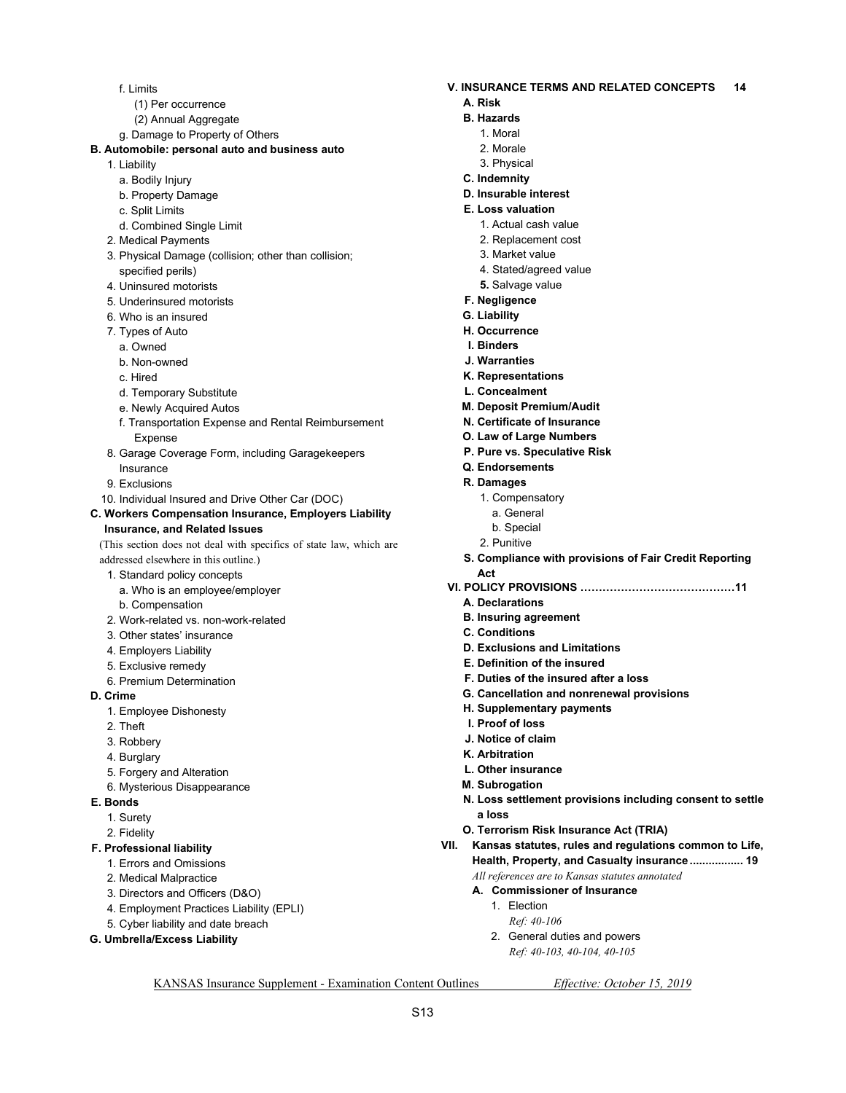- f. Limits
	- (1) Per occurrence
	- (2) Annual Aggregate
- g. Damage to Property of Others
- **B. Automobile: personal auto and business auto** 
	- 1. Liability
		- a. Bodily Injury
		- b. Property Damage
		- c. Split Limits
		- d. Combined Single Limit
	- 2. Medical Payments
	- 3. Physical Damage (collision; other than collision; specified perils)
	- 4. Uninsured motorists
	- 5. Underinsured motorists
	- 6. Who is an insured
	- 7. Types of Auto
		- a. Owned
		- b. Non-owned
		- c. Hired
		- d. Temporary Substitute
		- e. Newly Acquired Autos
		- f. Transportation Expense and Rental Reimbursement Expense
	- 8. Garage Coverage Form, including Garagekeepers Insurance
	- 9. Exclusions
	- 10. Individual Insured and Drive Other Car (DOC)
- **C. Workers Compensation Insurance, Employers Liability Insurance, and Related Issues**

(This section does not deal with specifics of state law, which are addressed elsewhere in this outline.)

- 1. Standard policy concepts
	- a. Who is an employee/employer
	- b. Compensation
- 2. Work-related vs. non-work-related
- 3. Other states' insurance
- 4. Employers Liability
- 5. Exclusive remedy
- 6. Premium Determination
- **D. Crime** 
	- 1. Employee Dishonesty
	- 2. Theft
	- 3. Robbery
	- 4. Burglary
	- 5. Forgery and Alteration
	- 6. Mysterious Disappearance
- **E. Bonds** 
	- 1. Surety
	- 2. Fidelity
- **F. Professional liability** 
	- 1. Errors and Omissions
	- 2. Medical Malpractice
	- 3. Directors and Officers (D&O)
	- 4. Employment Practices Liability (EPLI)
	- 5. Cyber liability and date breach
- **G. Umbrella/Excess Liability**
- **V. INSURANCE TERMS AND RELATED CONCEPTS 14** 
	- **A. Risk**
	- **B. Hazards** 
		- 1. Moral
		- 2. Morale
		- 3. Physical
	- **C. Indemnity**
	- **D. Insurable interest**
	- **E. Loss valuation** 
		- 1. Actual cash value
		- 2. Replacement cost
		- 3. Market value
		- 4. Stated/agreed value
		- **5.** Salvage value
	- **F. Negligence**
	- **G. Liability**
	- **H. Occurrence**
	- **I. Binders**
	- **J. Warranties**
	- **K. Representations**
	- **L. Concealment**
	- **M. Deposit Premium/Audit**
	- **N. Certificate of Insurance**
	- **O. Law of Large Numbers**
	- **P. Pure vs. Speculative Risk**
	- **Q. Endorsements**
	- **R. Damages** 
		- 1. Compensatory
		- a. General
		- b. Special
		- 2. Punitive
	- **S. Compliance with provisions of Fair Credit Reporting Act**
- **VI. POLICY PROVISIONS ……………………………………11** 
	- **A. Declarations**
	- **B. Insuring agreement**
	- **C. Conditions**
	- **D. Exclusions and Limitations**
	- **E. Definition of the insured**
	- **F. Duties of the insured after a loss**
	- **G. Cancellation and nonrenewal provisions**
	- **H. Supplementary payments**
	- **I. Proof of loss**
	- **J. Notice of claim**
	- **K. Arbitration**
	- **L. Other insurance**

 1. Election  *Ref: 40-106* 

**M. Subrogation** 

KANSAS Insurance Supplement - Examination Content Outlines *Effective: October 15, 2019* 

S13

**N. Loss settlement provisions including consent to settle a loss** 

**VII. Kansas statutes, rules and regulations common to Life, Health, Property, and Casualty insurance ................. 19** 

**O. Terrorism Risk Insurance Act (TRIA)** 

 *All references are to Kansas statutes annotated*   **A. Commissioner of Insurance** 

 2. General duties and powers  *Ref: 40-103, 40-104, 40-105*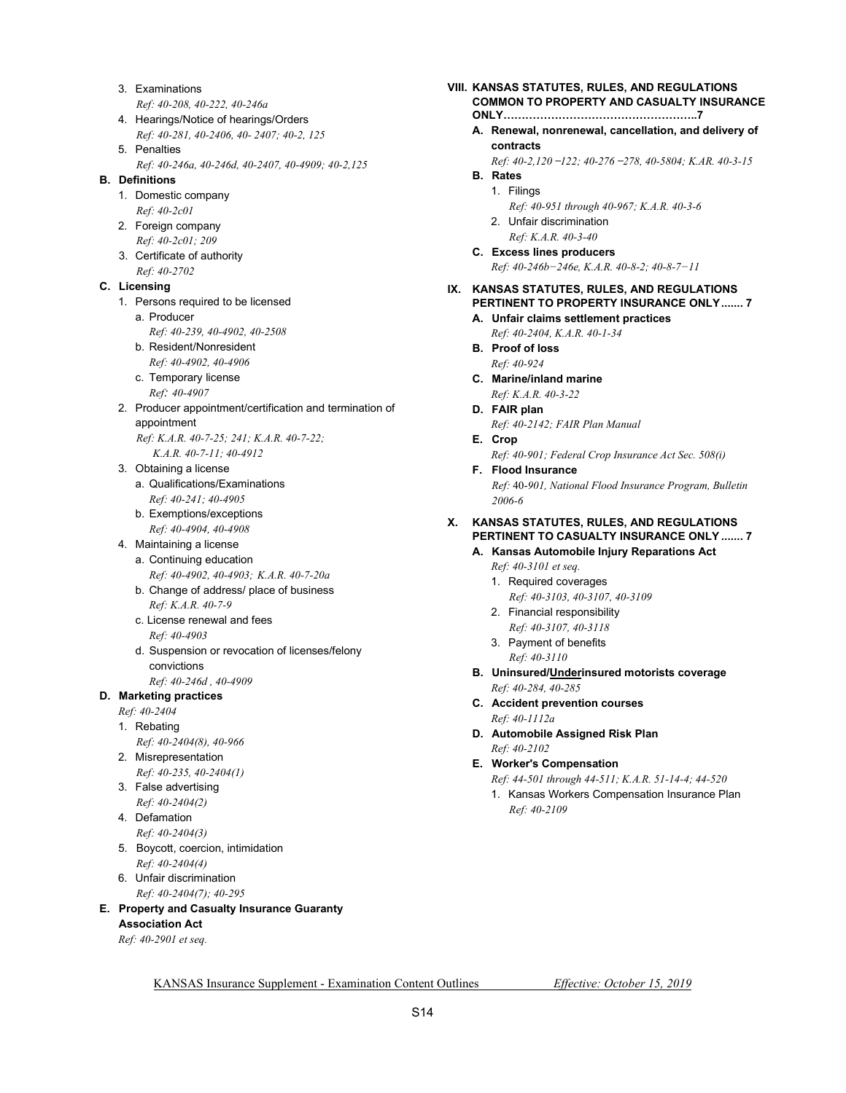- 3. Examinations  *Ref: 40-208, 40-222, 40-246a*
- 4. Hearings/Notice of hearings/Orders  *Ref: 40-281, 40-2406, 40- 2407; 40-2, 125*
- 5. Penalties *Ref: 40-246a, 40-246d, 40-2407, 40-4909; 40-2,125*

#### **B. Definitions**

- 1. Domestic company  *Ref: 40-2c01*
- 2. Foreign company  *Ref: 40-2c01; 209*
- 3. Certificate of authority
- *Ref: 40-2702*

### **C. Licensing**

- 1. Persons required to be licensed
	- a. Producer
	- *Ref: 40-239, 40-4902, 40-2508*
	- b. Resident/Nonresident  *Ref: 40-4902, 40-4906*
	- c. Temporary license
	- *Ref: 40-4907*
- 2. Producer appointment/certification and termination of appointment
	- *Ref: K.A.R. 40-7-25; 241; K.A.R. 40-7-22; K.A.R. 40-7-11; 40-4912*
- 3. Obtaining a license
	- a. Qualifications/Examinations  *Ref: 40-241; 40-4905*
	- b. Exemptions/exceptions  *Ref: 40-4904, 40-4908*
- 4. Maintaining a license a. Continuing education  *Ref: 40-4902, 40-4903; K.A.R. 40-7-20a* 
	- b. Change of address/ place of business  *Ref: K.A.R. 40-7-9*
	- c. License renewal and fees  *Ref: 40-4903*
	- d. Suspension or revocation of licenses/felony convictions
- *Ref: 40-246d , 40-4909*

#### **D. Marketing practices**

- *Ref: 40-2404*
- 1. Rebating
- *Ref: 40-2404(8), 40-966*
- 2. Misrepresentation
- *Ref: 40-235, 40-2404(1)*  3. False advertising
	- *Ref: 40-2404(2)*
- 4. Defamation  *Ref: 40-2404(3)*
- 5. Boycott, coercion, intimidation
- *Ref: 40-2404(4)*  6. Unfair discrimination
	- *Ref: 40-2404(7); 40-295*

### **E. Property and Casualty Insurance Guaranty**

**Association Act** 

 *Ref: 40-2901 et seq.* 

- **VIII. KANSAS STATUTES, RULES, AND REGULATIONS COMMON TO PROPERTY AND CASUALTY INSURANCE** 
	- **ONLY……………………………………………..7**
	- **A. Renewal, nonrenewal, cancellation, and delivery of contracts** 
		- *Ref: 40-2,120 ̶ 122; 40-276 ̶ 278, 40-5804; K.AR. 40-3-15*
	- **B. Rates**  1. Filings
		- *Ref: 40-951 through 40-967; K.A.R. 40-3-6*
		- 2. Unfair discrimination
	- *Ref: K.A.R. 40-3-40*   **C. Excess lines producers** 
		- *Ref: 40-246b−246e, K.A.R. 40-8-2; 40-8-7−11*

### **IX. KANSAS STATUTES, RULES, AND REGULATIONS PERTINENT TO PROPERTY INSURANCE ONLY ....... 7**

- **A. Unfair claims settlement practices**   *Ref: 40-2404, K.A.R. 40-1-34*
- **B. Proof of loss**   *Ref: 40-924*
- **C. Marine/inland marine**   *Ref: K.A.R. 40-3-22*
- **D. FAIR plan**   *Ref: 40-2142; FAIR Plan Manual*
- **E. Crop**   *Ref: 40-901; Federal Crop Insurance Act Sec. 508(i)*
- **F. Flood Insurance**   *Ref:* 40-*901, National Flood Insurance Program, Bulletin*

*2006-6* 

#### **X. KANSAS STATUTES, RULES, AND REGULATIONS PERTINENT TO CASUALTY INSURANCE ONLY ....... 7**

#### **A. Kansas Automobile Injury Reparations Act**

- *Ref: 40-3101 et seq.*
- 1. Required coverages
- *Ref: 40-3103, 40-3107, 40-3109*  2. Financial responsibility
- *Ref: 40-3107, 40-3118*  3. Payment of benefits
- *Ref: 40-3110*
- **B. Uninsured/Underinsured motorists coverage**   *Ref: 40-284, 40-285*
- **C. Accident prevention courses**   *Ref: 40-1112a*
- **D. Automobile Assigned Risk Plan**   *Ref: 40-2102*
- **E. Worker's Compensation**

*Ref: 44-501 through 44-511; K.A.R. 51-14-4; 44-520* 

 1. Kansas Workers Compensation Insurance Plan  *Ref: 40-2109*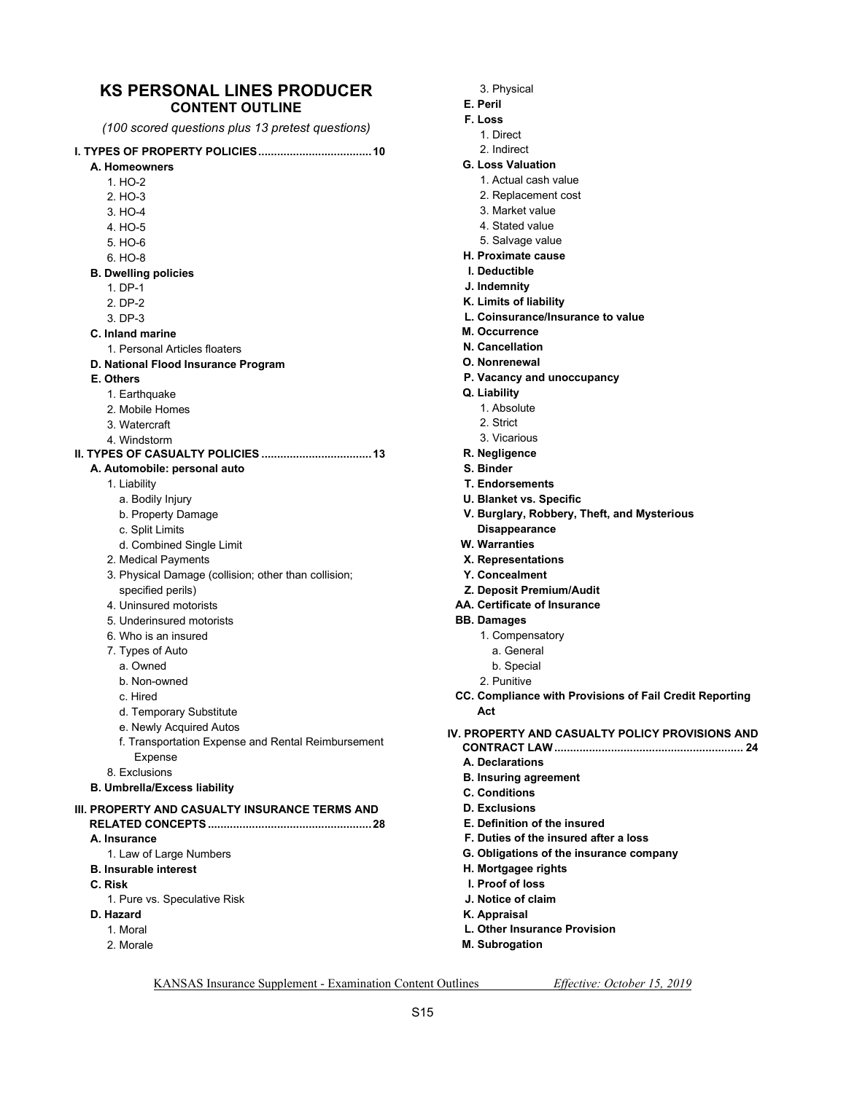# **KS PERSONAL LINES PRODUCER**

| <b>KS PERSONAL LINES PRODUCER</b><br><b>CONTENT OUTLINE</b> |
|-------------------------------------------------------------|
| (100 scored questions plus 13 pretest questions)            |
|                                                             |
| A. Homeowners                                               |
| 1. HO-2                                                     |
| $2. HO-3$                                                   |
| 3. HO-4                                                     |
| 4. HO-5                                                     |
| 5. HO-6                                                     |
| 6. HO-8                                                     |
| <b>B. Dwelling policies</b>                                 |
| 1. DP-1                                                     |
| 2. DP-2                                                     |
| 3. DP-3                                                     |
| C. Inland marine                                            |
| 1 Personal Articles floaters                                |
| D. National Flood Insurance Program                         |
| E. Others                                                   |
| 1. Earthquake                                               |
| 2. Mobile Homes                                             |
| 3 Watercraft                                                |
| 4 Windstorm                                                 |
|                                                             |
| A. Automobile: personal auto                                |
| 1. Liability                                                |
| a. Bodily Injury                                            |
| b. Property Damage                                          |
| c. Split Limits                                             |
| d. Combined Single Limit                                    |

- 2. Medical Payments
- 3. Physical Damage (collision; other than collision; specified perils)
- 4. Uninsured motorists
- 5. Underinsured motorists
- 6. Who is an insured
- 7. Types of Auto
- a. Owned
- b. Non-owned
- c. Hired
- d. Temporary Substitute
- e. Newly Acquired Autos
- f. Transportation Expense and Rental Reimbursement Expense
- 8. Exclusions
- **B. Umbrella/Excess liability**

#### **III. PROPERTY AND CASUALTY INSURANCE TERMS AND RELATED CONCEPTS .................................................... 28 A. Insurance**  1. Law of Large Numbers

- **B. Insurable interest**
- **C. Risk** 
	- 1. Pure vs. Speculative Risk
- **D. Hazard** 
	- 1. Moral
	- 2. Morale
- 3. Physical
- **E. Peril**
- **F. Loss** 
	- 1. Direct
	- 2. Indirect
- **G. Loss Valuation** 
	- 1. Actual cash value
	- 2. Replacement cost
	- 3. Market value
	- 4. Stated value
	- 5. Salvage value
- **H. Proximate cause**
- **I. Deductible**
- **J. Indemnity**
- **K. Limits of liability**
- **L. Coinsurance/Insurance to value**
- **M. Occurrence**
- **N. Cancellation**
- **O. Nonrenewal**
- **P. Vacancy and unoccupancy**
- **Q. Liability** 
	- 1. Absolute
	- 2. Strict
	- 3. Vicarious
- **R. Negligence**
- **S. Binder**
- **T. Endorsements**
- **U. Blanket vs. Specific**
- **V. Burglary, Robbery, Theft, and Mysterious Disappearance**
- **W. Warranties**
- **X. Representations**
- **Y. Concealment**
- **Z. Deposit Premium/Audit**
- **AA. Certificate of Insurance**
- **BB. Damages** 
	- 1. Compensatory
		- a. General
	- b. Special
	- 2. Punitive
- **CC. Compliance with Provisions of Fail Credit Reporting Act**
- **IV. PROPERTY AND CASUALTY POLICY PROVISIONS AND CONTRACT LAW ............................................................ 24** 
	- **A. Declarations**
	- **B. Insuring agreement**
	- **C. Conditions**
	- **D. Exclusions**
	- **E. Definition of the insured**
	- **F. Duties of the insured after a loss**
	- **G. Obligations of the insurance company**
	- **H. Mortgagee rights**
	- **I. Proof of loss**
	- **J. Notice of claim**
	- **K. Appraisal**
	- **L. Other Insurance Provision**
	- **M. Subrogation**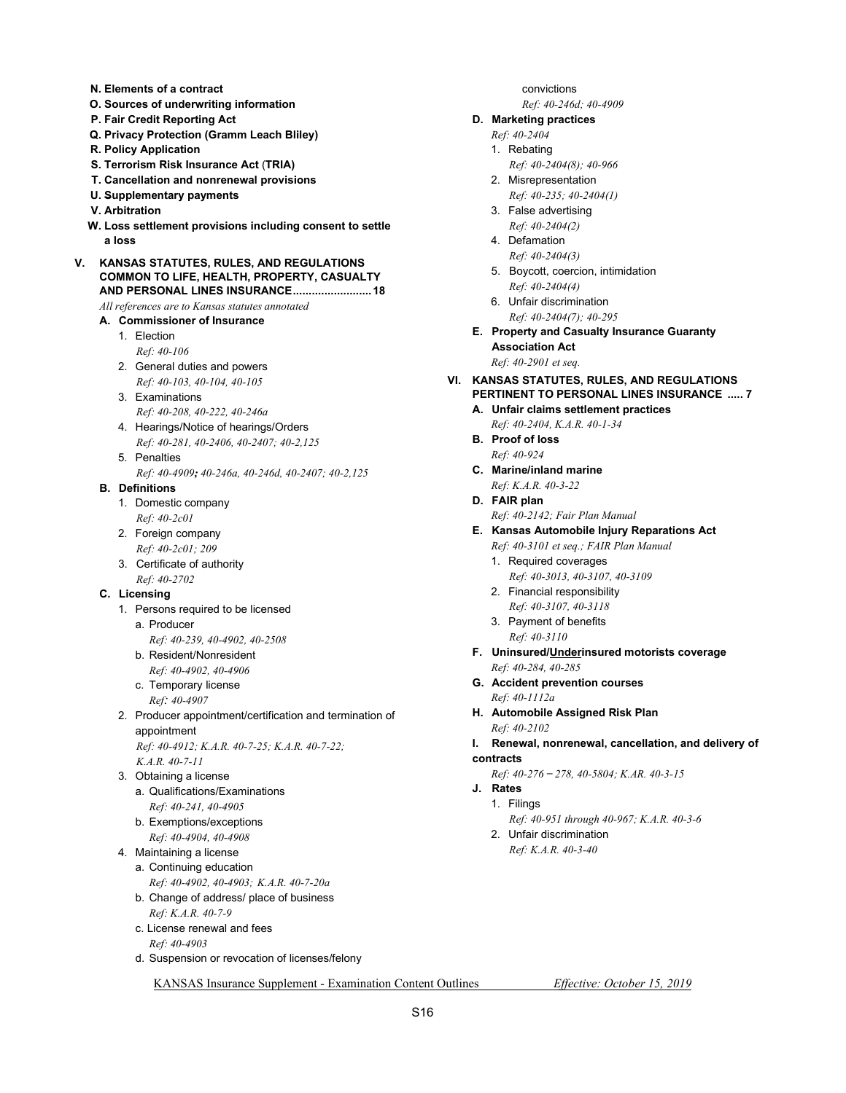- **N. Elements of a contract**
- **O. Sources of underwriting information**
- **P. Fair Credit Reporting Act**
- **Q. Privacy Protection (Gramm Leach Bliley)**
- **R. Policy Application**
- **S. Terrorism Risk Insurance Act** (**TRIA)**
- **T. Cancellation and nonrenewal provisions**
- **U. Supplementary payments**
- **V. Arbitration**
- **W. Loss settlement provisions including consent to settle a loss**
- **V. KANSAS STATUTES, RULES, AND REGULATIONS COMMON TO LIFE, HEALTH, PROPERTY, CASUALTY AND PERSONAL LINES INSURANCE ......................... 18**

 *All references are to Kansas statutes annotated* 

- **A. Commissioner of Insurance** 
	- 1. Election  *Ref: 40-106*
	- 2. General duties and powers  *Ref: 40-103, 40-104, 40-105*
	- 3. Examinations  *Ref: 40-208, 40-222, 40-246a*
	- 4. Hearings/Notice of hearings/Orders  *Ref: 40-281, 40-2406, 40-2407; 40-2,125*
	- 5. Penalties *Ref: 40-4909; 40-246a, 40-246d, 40-2407; 40-2,125*

#### **B. Definitions**

- 1. Domestic company
- *Ref: 40-2c01*  2. Foreign company
- *Ref: 40-2c01; 209*
- 3. Certificate of authority  *Ref: 40-2702*

#### **C. Licensing**

- 1. Persons required to be licensed
	- a. Producer
	- *Ref: 40-239, 40-4902, 40-2508*
	- b. Resident/Nonresident  *Ref: 40-4902, 40-4906*
	- c. Temporary license
	- *Ref: 40-4907*
- 2. Producer appointment/certification and termination of appointment
	- *Ref: 40-4912; K.A.R. 40-7-25; K.A.R. 40-7-22; K.A.R. 40-7-11*
- 3. Obtaining a license a. Qualifications/Examinations  *Ref: 40-241, 40-4905*
	- b. Exemptions/exceptions  *Ref: 40-4904, 40-4908*
- 4. Maintaining a license
	- a. Continuing education  *Ref: 40-4902, 40-4903; K.A.R. 40-7-20a*
	- b. Change of address/ place of business  *Ref: K.A.R. 40-7-9*
	- c. License renewal and fees  *Ref: 40-4903*
	- d. Suspension or revocation of licenses/felony

 convictions  *Ref: 40-246d; 40-4909* 

#### **D. Marketing practices**

- *Ref: 40-2404*
- 1. Rebating
	- *Ref: 40-2404(8); 40-966*
- 2. Misrepresentation  *Ref: 40-235; 40-2404(1)*
- 3. False advertising  *Ref: 40-2404(2)*
- 4. Defamation  *Ref: 40-2404(3)*
- 5. Boycott, coercion, intimidation  *Ref: 40-2404(4)*
- 6. Unfair discrimination  *Ref: 40-2404(7); 40-295*
- **E. Property and Casualty Insurance Guaranty Association Act**   *Ref: 40-2901 et seq.*
- **VI. KANSAS STATUTES, RULES, AND REGULATIONS PERTINENT TO PERSONAL LINES INSURANCE ..... 7** 
	- **A. Unfair claims settlement practices**
	- *Ref: 40-2404, K.A.R. 40-1-34*   **B. Proof of loss** 
		- *Ref: 40-924*
	- **C. Marine/inland marine**   *Ref: K.A.R. 40-3-22*
	- **D. FAIR plan** 
		- *Ref: 40-2142; Fair Plan Manual*
	- **E. Kansas Automobile Injury Reparations Act** 
		- *Ref: 40-3101 et seq.; FAIR Plan Manual*
		- 1. Required coverages  *Ref: 40-3013, 40-3107, 40-3109*
		- 2. Financial responsibility  *Ref: 40-3107, 40-3118*
		- 3. Payment of benefits  *Ref: 40-3110*
	- **F. Uninsured/Underinsured motorists coverage**   *Ref: 40-284, 40-285*
	- **G. Accident prevention courses**   *Ref: 40-1112a*
	- **H. Automobile Assigned Risk Plan**   *Ref: 40-2102*
	- **I. Renewal, nonrenewal, cancellation, and delivery of contracts** 
		- *Ref: 40-276 ̶ 278, 40-5804; K.AR. 40-3-15*
	- **J. Rates**
	- 1. Filings
		- *Ref: 40-951 through 40-967; K.A.R. 40-3-6*
		- 2. Unfair discrimination  *Ref: K.A.R. 40-3-40*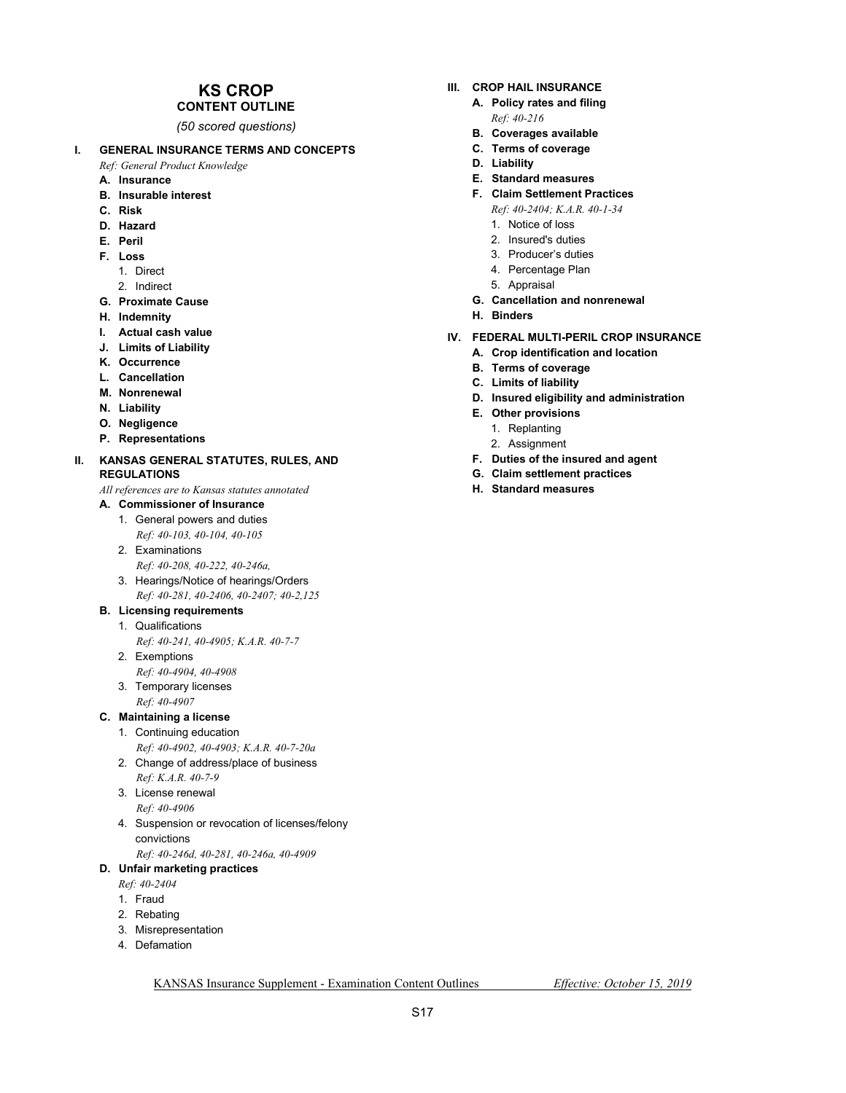## **KS CROP**

## **CONTENT OUTLINE**

*(50 scored questions)* 

#### **I. GENERAL INSURANCE TERMS AND CONCEPTS**

 *Ref: General Product Knowledge* 

- **A. Insurance**
- **B. Insurable interest**
- **C. Risk**
- **D. Hazard**
- **E. Peril**
- **F. Loss** 
	- 1. Direct
	- 2. Indirect
- **G. Proximate Cause**
- **H. Indemnity**
- **I. Actual cash value**
- **J. Limits of Liability**
- **K. Occurrence**
- **L. Cancellation**
- **M. Nonrenewal**
- **N. Liability**
- **O. Negligence**
- **P. Representations**

#### **II. KANSAS GENERAL STATUTES, RULES, AND REGULATIONS**

 *All references are to Kansas statutes annotated* 

 **A. Commissioner of Insurance** 

 1. General powers and duties  *Ref: 40-103, 40-104, 40-105* 

- 2. Examinations
- *Ref: 40-208, 40-222, 40-246a,*  3. Hearings/Notice of hearings/Orders
- *Ref: 40-281, 40-2406, 40-2407; 40-2,125*
- **B. Licensing requirements**

#### 1. Qualifications

- *Ref: 40-241, 40-4905; K.A.R. 40-7-7*
- 2. Exemptions
	- *Ref: 40-4904, 40-4908*
- 3. Temporary licenses  *Ref: 40-4907*

#### **C. Maintaining a license**

- 1. Continuing education  *Ref: 40-4902, 40-4903; K.A.R. 40-7-20a*
- 2. Change of address/place of business  *Ref: K.A.R. 40-7-9*
- 3. License renewal
- *Ref: 40-4906*
- 4. Suspension or revocation of licenses/felony convictions
- *Ref: 40-246d, 40-281, 40-246a, 40-4909*

#### **D. Unfair marketing practices**

- *Ref: 40-2404*
- 1. Fraud
- 2. Rebating
- 3. Misrepresentation
- 4. Defamation

#### **III. CROP HAIL INSURANCE A. Policy rates and filing**

- *Ref: 40-216*
- **B. Coverages available**
- **C. Terms of coverage**
- **D. Liability**
- **E. Standard measures**
- **F. Claim Settlement Practices**   *Ref: 40-2404; K.A.R. 40-1-34* 
	- 1. Notice of loss
	- 2. Insured's duties
	- 3. Producer's duties
	- 4. Percentage Plan
	- 5. Appraisal
- **G. Cancellation and nonrenewal**
- **H. Binders**

#### **IV. FEDERAL MULTI-PERIL CROP INSURANCE**

- **A. Crop identification and location**
- **B. Terms of coverage**
- **C. Limits of liability**
- **D. Insured eligibility and administration**
- **E. Other provisions** 
	- 1. Replanting
	- 2. Assignment
- **F. Duties of the insured and agent**
- **G. Claim settlement practices**
- **H. Standard measures**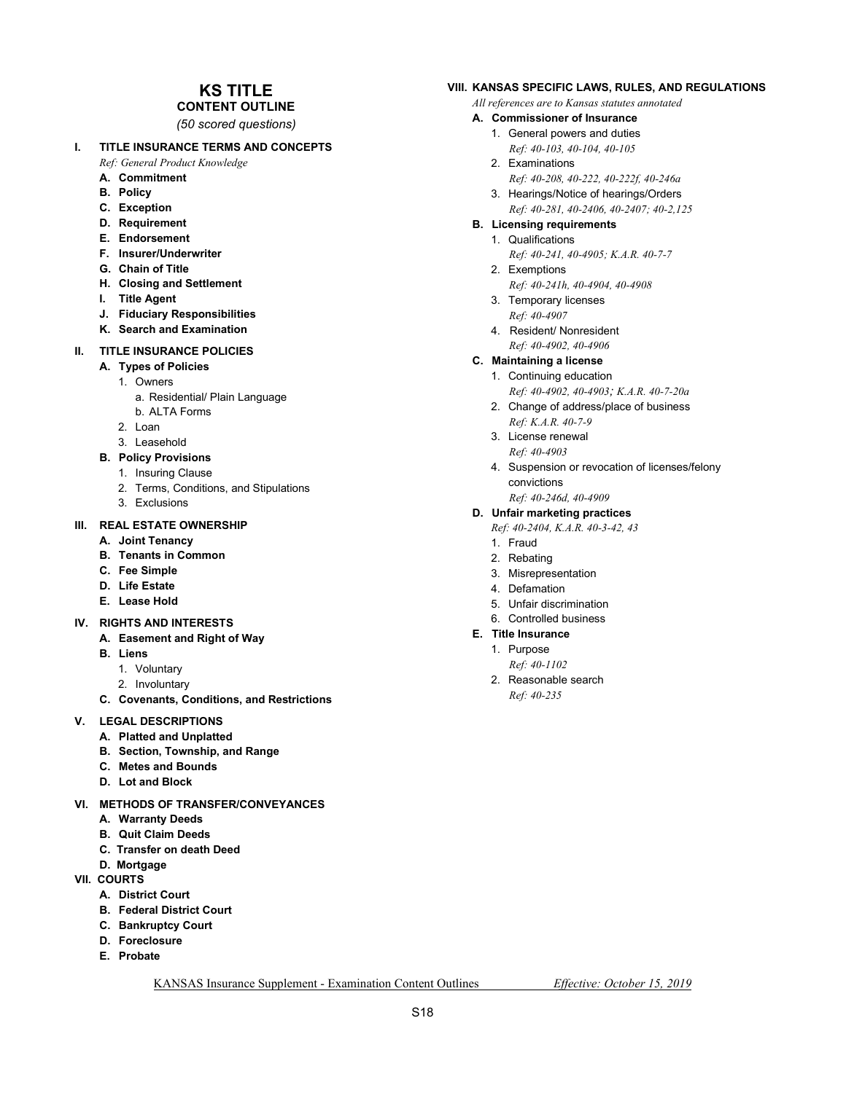## **KS TITLE**

**CONTENT OUTLINE**  *(50 scored questions)* 

#### **I. TITLE INSURANCE TERMS AND CONCEPTS**

 *Ref: General Product Knowledge* 

- **A. Commitment**
- **B. Policy**
- **C. Exception**
- **D. Requirement**
- **E. Endorsement**
- **F. Insurer/Underwriter**
- **G. Chain of Title**
- **H. Closing and Settlement**
- **I. Title Agent**
- **J. Fiduciary Responsibilities**
- **K. Search and Examination**

#### **II. TITLE INSURANCE POLICIES**

- **A. Types of Policies** 
	- 1. Owners
		- a. Residential/ Plain Language
	- b. ALTA Forms
	- 2. Loan
	- 3. Leasehold
- **B. Policy Provisions** 
	- 1. Insuring Clause
	- 2. Terms, Conditions, and Stipulations
	- 3. Exclusions

#### **III. REAL ESTATE OWNERSHIP**

- **A. Joint Tenancy**
- **B. Tenants in Common**
- **C. Fee Simple**
- **D. Life Estate**
- **E. Lease Hold**

#### **IV. RIGHTS AND INTERESTS**

- **A. Easement and Right of Way**
- **B. Liens** 
	- 1. Voluntary
	- 2. Involuntary
- **C. Covenants, Conditions, and Restrictions**

#### **V. LEGAL DESCRIPTIONS**

- **A. Platted and Unplatted**
- **B. Section, Township, and Range**
- **C. Metes and Bounds**
- **D. Lot and Block**
- **VI. METHODS OF TRANSFER/CONVEYANCES** 
	- **A. Warranty Deeds**
	- **B. Quit Claim Deeds**
	- **C. Transfer on death Deed**
	- **D. Mortgage**
- **VII. COURTS** 
	- **A. District Court**
	- **B. Federal District Court**
	- **C. Bankruptcy Court**
	- **D. Foreclosure**
	- **E. Probate**

#### **VIII. KANSAS SPECIFIC LAWS, RULES, AND REGULATIONS**

 *All references are to Kansas statutes annotated* 

#### **A. Commissioner of Insurance**

- 1. General powers and duties  *Ref: 40-103, 40-104, 40-105*
- 2. Examinations
- *Ref: 40-208, 40-222, 40-222f, 40-246a*
- 3. Hearings/Notice of hearings/Orders  *Ref: 40-281, 40-2406, 40-2407; 40-2,125*
- **B. Licensing requirements** 
	- 1. Qualifications
		- *Ref: 40-241, 40-4905; K.A.R. 40-7-7*
	- 2. Exemptions  *Ref: 40-241h, 40-4904, 40-4908*
	- 3. Temporary licenses  *Ref: 40-4907*
	- 4. Resident/ Nonresident *Ref: 40-4902, 40-4906*

#### **C. Maintaining a license**

- 1. Continuing education
- *Ref: 40-4902, 40-4903; K.A.R. 40-7-20a*  2. Change of address/place of business
- *Ref: K.A.R. 40-7-9*
- 3. License renewal  *Ref: 40-4903*
- 4. Suspension or revocation of licenses/felony convictions  *Ref: 40-246d, 40-4909*

### **D. Unfair marketing practices**

- *Ref: 40-2404, K.A.R. 40-3-42, 43*
- 1. Fraud
- 2. Rebating
- 3. Misrepresentation
- 4. Defamation
- 5. Unfair discrimination
- 6. Controlled business
- **E. Title Insurance** 
	- 1. Purpose
	- *Ref: 40-1102*  2. Reasonable search
	- *Ref: 40-235*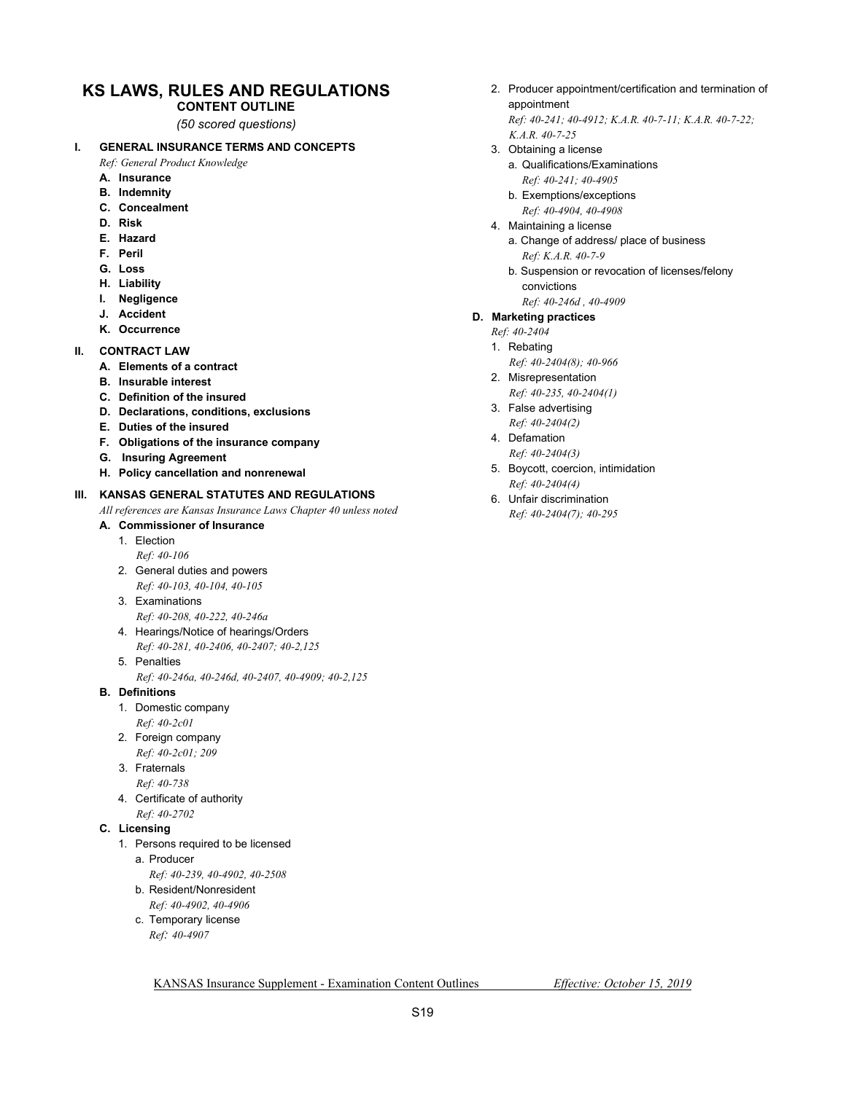### **KS LAWS, RULES AND REGULATIONS**

**CONTENT OUTLINE**  *(50 scored questions)* 

#### **I. GENERAL INSURANCE TERMS AND CONCEPTS**

 *Ref: General Product Knowledge* 

- **A. Insurance**
- **B. Indemnity**
- **C. Concealment**
- **D. Risk**
- **E. Hazard**
- **F. Peril**
- **G. Loss**
- **H. Liability**
- **I. Negligence**
- **J. Accident**
- **K. Occurrence**
- **II. CONTRACT LAW** 
	- **A. Elements of a contract**
	- **B. Insurable interest**
	- **C. Definition of the insured**
	- **D. Declarations, conditions, exclusions**
	- **E. Duties of the insured**
	- **F. Obligations of the insurance company**
	- **G. Insuring Agreement**
	- **H. Policy cancellation and nonrenewal**

#### **III. KANSAS GENERAL STATUTES AND REGULATIONS**

 *All references are Kansas Insurance Laws Chapter 40 unless noted* 

- **A. Commissioner of Insurance** 
	- 1. Election
		- *Ref: 40-106*
	- 2. General duties and powers  *Ref: 40-103, 40-104, 40-105*
	- 3. Examinations  *Ref: 40-208, 40-222, 40-246a*
	- 4. Hearings/Notice of hearings/Orders  *Ref: 40-281, 40-2406, 40-2407; 40-2,125*
	- 5. Penalties
		- *Ref: 40-246a, 40-246d, 40-2407, 40-4909; 40-2,125*

#### **B. Definitions**

- 1. Domestic company
- *Ref: 40-2c01*
- 2. Foreign company  *Ref: 40-2c01; 209*
- 3. Fraternals
	- *Ref: 40-738*
- 4. Certificate of authority  *Ref: 40-2702*
- **C. Licensing** 
	- 1. Persons required to be licensed
	- a. Producer
		- *Ref: 40-239, 40-4902, 40-2508*
		- b. Resident/Nonresident  *Ref: 40-4902, 40-4906*
		- c. Temporary license  *Ref: 40-4907*
- 2. Producer appointment/certification and termination of appointment
	- *Ref: 40-241; 40-4912; K.A.R. 40-7-11; K.A.R. 40-7-22; K.A.R. 40-7-25*
- 3. Obtaining a license
	- a. Qualifications/Examinations
	- *Ref: 40-241; 40-4905*
	- b. Exemptions/exceptions  *Ref: 40-4904, 40-4908*
- 4. Maintaining a license
	- a. Change of address/ place of business  *Ref: K.A.R. 40-7-9*
	- b. Suspension or revocation of licenses/felony convictions
		- *Ref: 40-246d , 40-4909*

#### **D. Marketing practices**

- *Ref: 40-2404*
- 1. Rebating
	- *Ref: 40-2404(8); 40-966*
- 2. Misrepresentation  *Ref: 40-235, 40-2404(1)*
- 3. False advertising  *Ref: 40-2404(2)*
- 4. Defamation
- *Ref: 40-2404(3)*
- 5. Boycott, coercion, intimidation  *Ref: 40-2404(4)*
- 6. Unfair discrimination  *Ref: 40-2404(7); 40-295*